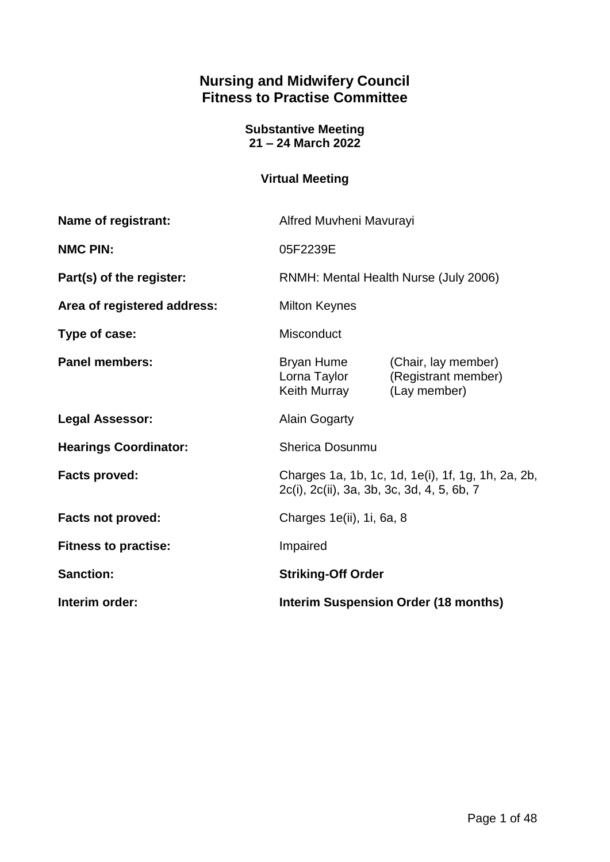# **Nursing and Midwifery Council Fitness to Practise Committee**

**Substantive Meeting 21 – 24 March 2022**

# **Virtual Meeting**

| Name of registrant:          | Alfred Muvheni Mavurayi                                                                          |                                                            |
|------------------------------|--------------------------------------------------------------------------------------------------|------------------------------------------------------------|
| <b>NMC PIN:</b>              | 05F2239E                                                                                         |                                                            |
| Part(s) of the register:     | RNMH: Mental Health Nurse (July 2006)                                                            |                                                            |
| Area of registered address:  | <b>Milton Keynes</b>                                                                             |                                                            |
| Type of case:                | Misconduct                                                                                       |                                                            |
| <b>Panel members:</b>        | Bryan Hume<br>Lorna Taylor<br>Keith Murray                                                       | (Chair, lay member)<br>(Registrant member)<br>(Lay member) |
| <b>Legal Assessor:</b>       | <b>Alain Gogarty</b>                                                                             |                                                            |
| <b>Hearings Coordinator:</b> | <b>Sherica Dosunmu</b>                                                                           |                                                            |
| <b>Facts proved:</b>         | Charges 1a, 1b, 1c, 1d, 1e(i), 1f, 1g, 1h, 2a, 2b,<br>2c(i), 2c(ii), 3a, 3b, 3c, 3d, 4, 5, 6b, 7 |                                                            |
| <b>Facts not proved:</b>     | Charges 1e(ii), 1i, 6a, 8                                                                        |                                                            |
| <b>Fitness to practise:</b>  | Impaired                                                                                         |                                                            |
| <b>Sanction:</b>             | <b>Striking-Off Order</b>                                                                        |                                                            |
| Interim order:               | <b>Interim Suspension Order (18 months)</b>                                                      |                                                            |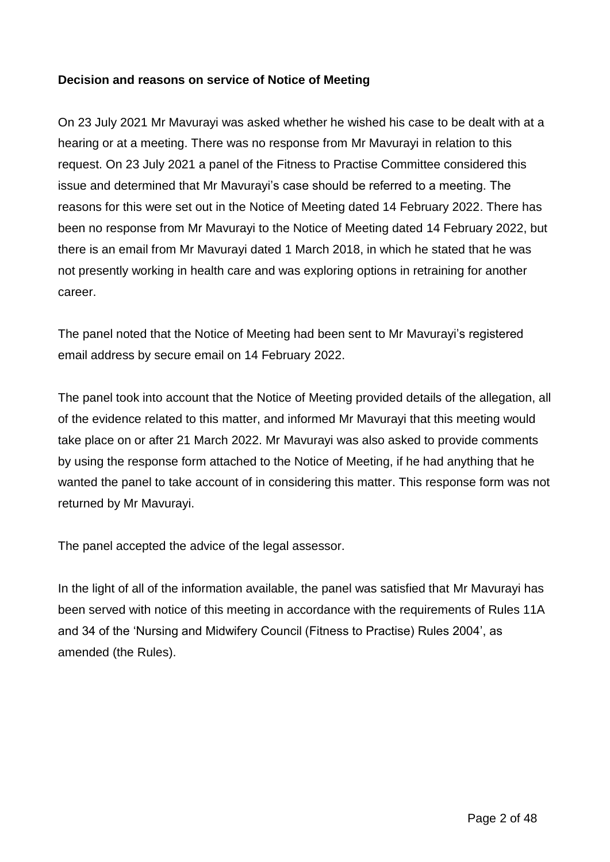#### **Decision and reasons on service of Notice of Meeting**

On 23 July 2021 Mr Mavurayi was asked whether he wished his case to be dealt with at a hearing or at a meeting. There was no response from Mr Mavurayi in relation to this request. On 23 July 2021 a panel of the Fitness to Practise Committee considered this issue and determined that Mr Mavurayi's case should be referred to a meeting. The reasons for this were set out in the Notice of Meeting dated 14 February 2022. There has been no response from Mr Mavurayi to the Notice of Meeting dated 14 February 2022, but there is an email from Mr Mavurayi dated 1 March 2018, in which he stated that he was not presently working in health care and was exploring options in retraining for another career.

The panel noted that the Notice of Meeting had been sent to Mr Mavurayi's registered email address by secure email on 14 February 2022.

The panel took into account that the Notice of Meeting provided details of the allegation, all of the evidence related to this matter, and informed Mr Mavurayi that this meeting would take place on or after 21 March 2022. Mr Mavurayi was also asked to provide comments by using the response form attached to the Notice of Meeting, if he had anything that he wanted the panel to take account of in considering this matter. This response form was not returned by Mr Mavurayi.

The panel accepted the advice of the legal assessor.

In the light of all of the information available, the panel was satisfied that Mr Mavurayi has been served with notice of this meeting in accordance with the requirements of Rules 11A and 34 of the 'Nursing and Midwifery Council (Fitness to Practise) Rules 2004', as amended (the Rules).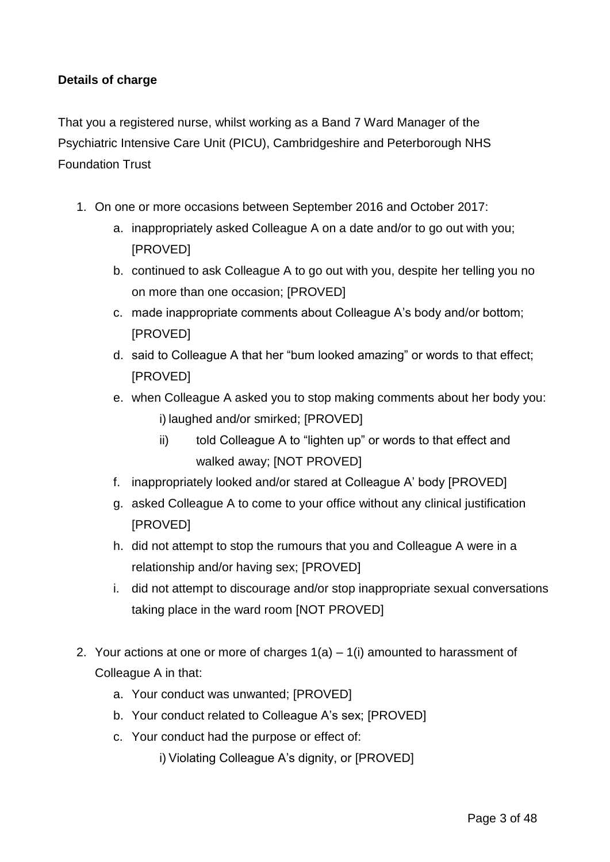### **Details of charge**

That you a registered nurse, whilst working as a Band 7 Ward Manager of the Psychiatric Intensive Care Unit (PICU), Cambridgeshire and Peterborough NHS Foundation Trust

- 1. On one or more occasions between September 2016 and October 2017:
	- a. inappropriately asked Colleague A on a date and/or to go out with you; [PROVED]
	- b. continued to ask Colleague A to go out with you, despite her telling you no on more than one occasion; [PROVED]
	- c. made inappropriate comments about Colleague A's body and/or bottom; [PROVED]
	- d. said to Colleague A that her "bum looked amazing" or words to that effect; [PROVED]
	- e. when Colleague A asked you to stop making comments about her body you: i) laughed and/or smirked; [PROVED]
		- ii) told Colleague A to "lighten up" or words to that effect and walked away; [NOT PROVED]
	- f. inappropriately looked and/or stared at Colleague A' body [PROVED]
	- g. asked Colleague A to come to your office without any clinical justification [PROVED]
	- h. did not attempt to stop the rumours that you and Colleague A were in a relationship and/or having sex; [PROVED]
	- i. did not attempt to discourage and/or stop inappropriate sexual conversations taking place in the ward room [NOT PROVED]
- 2. Your actions at one or more of charges 1(a) 1(i) amounted to harassment of Colleague A in that:
	- a. Your conduct was unwanted; [PROVED]
	- b. Your conduct related to Colleague A's sex; [PROVED]
	- c. Your conduct had the purpose or effect of:

i) Violating Colleague A's dignity, or [PROVED]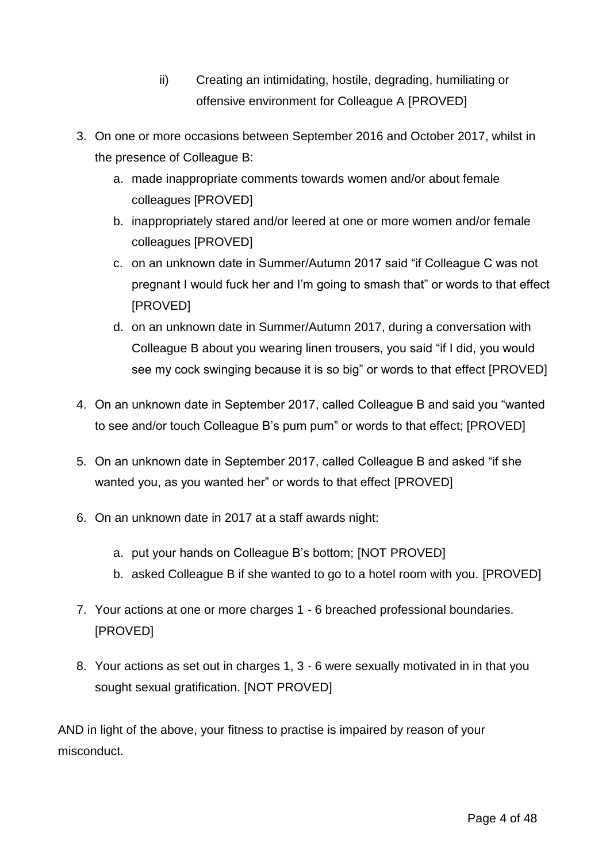- ii) Creating an intimidating, hostile, degrading, humiliating or offensive environment for Colleague A [PROVED]
- 3. On one or more occasions between September 2016 and October 2017, whilst in the presence of Colleague B:
	- a. made inappropriate comments towards women and/or about female colleagues [PROVED]
	- b. inappropriately stared and/or leered at one or more women and/or female colleagues [PROVED]
	- c. on an unknown date in Summer/Autumn 2017 said "if Colleague C was not pregnant I would fuck her and I'm going to smash that" or words to that effect [PROVED]
	- d. on an unknown date in Summer/Autumn 2017, during a conversation with Colleague B about you wearing linen trousers, you said "if I did, you would see my cock swinging because it is so big" or words to that effect [PROVED]
- 4. On an unknown date in September 2017, called Colleague B and said you "wanted to see and/or touch Colleague B's pum pum" or words to that effect; [PROVED]
- 5. On an unknown date in September 2017, called Colleague B and asked "if she wanted you, as you wanted her" or words to that effect [PROVED]
- 6. On an unknown date in 2017 at a staff awards night:
	- a. put your hands on Colleague B's bottom; [NOT PROVED]
	- b. asked Colleague B if she wanted to go to a hotel room with you. [PROVED]
- 7. Your actions at one or more charges 1 6 breached professional boundaries. [PROVED]
- 8. Your actions as set out in charges 1, 3 6 were sexually motivated in in that you sought sexual gratification. [NOT PROVED]

AND in light of the above, your fitness to practise is impaired by reason of your misconduct.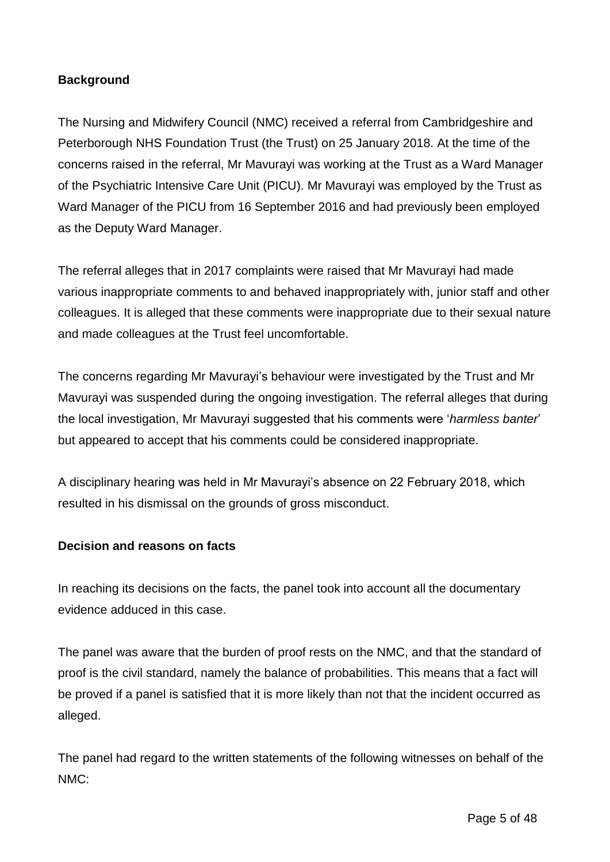## **Background**

The Nursing and Midwifery Council (NMC) received a referral from Cambridgeshire and Peterborough NHS Foundation Trust (the Trust) on 25 January 2018. At the time of the concerns raised in the referral, Mr Mavurayi was working at the Trust as a Ward Manager of the Psychiatric Intensive Care Unit (PICU). Mr Mavurayi was employed by the Trust as Ward Manager of the PICU from 16 September 2016 and had previously been employed as the Deputy Ward Manager.

The referral alleges that in 2017 complaints were raised that Mr Mavurayi had made various inappropriate comments to and behaved inappropriately with, junior staff and other colleagues. It is alleged that these comments were inappropriate due to their sexual nature and made colleagues at the Trust feel uncomfortable.

The concerns regarding Mr Mavurayi's behaviour were investigated by the Trust and Mr Mavurayi was suspended during the ongoing investigation. The referral alleges that during the local investigation, Mr Mavurayi suggested that his comments were '*harmless banter*' but appeared to accept that his comments could be considered inappropriate.

A disciplinary hearing was held in Mr Mavurayi's absence on 22 February 2018, which resulted in his dismissal on the grounds of gross misconduct.

### **Decision and reasons on facts**

In reaching its decisions on the facts, the panel took into account all the documentary evidence adduced in this case.

The panel was aware that the burden of proof rests on the NMC, and that the standard of proof is the civil standard, namely the balance of probabilities. This means that a fact will be proved if a panel is satisfied that it is more likely than not that the incident occurred as alleged.

The panel had regard to the written statements of the following witnesses on behalf of the NMC: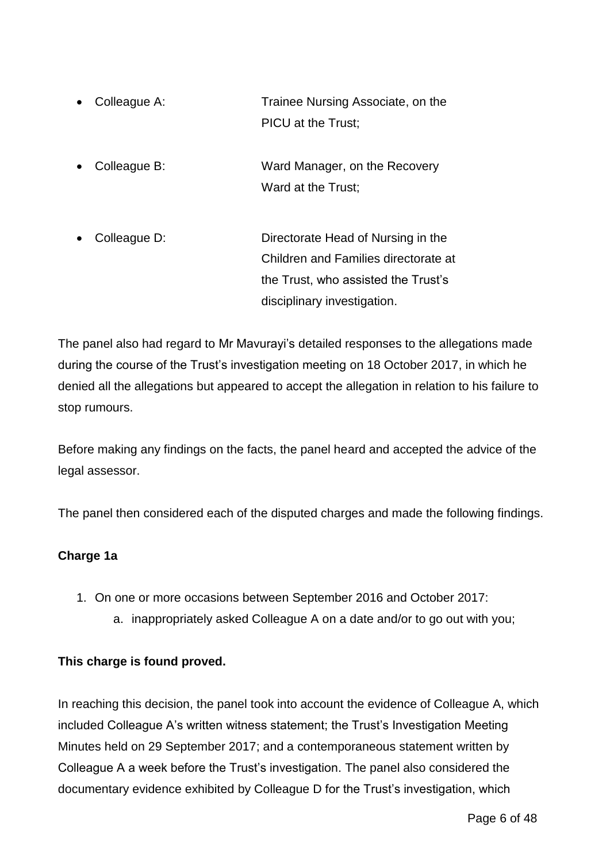- Colleague A: Trainee Nursing Associate, on the PICU at the Trust;
- Colleague B: Ward Manager, on the Recovery Ward at the Trust;
- Colleague D: Directorate Head of Nursing in the Children and Families directorate at the Trust, who assisted the Trust's disciplinary investigation.

The panel also had regard to Mr Mavurayi's detailed responses to the allegations made during the course of the Trust's investigation meeting on 18 October 2017, in which he denied all the allegations but appeared to accept the allegation in relation to his failure to stop rumours.

Before making any findings on the facts, the panel heard and accepted the advice of the legal assessor.

The panel then considered each of the disputed charges and made the following findings.

# **Charge 1a**

- 1. On one or more occasions between September 2016 and October 2017:
	- a. inappropriately asked Colleague A on a date and/or to go out with you;

### **This charge is found proved.**

In reaching this decision, the panel took into account the evidence of Colleague A, which included Colleague A's written witness statement; the Trust's Investigation Meeting Minutes held on 29 September 2017; and a contemporaneous statement written by Colleague A a week before the Trust's investigation. The panel also considered the documentary evidence exhibited by Colleague D for the Trust's investigation, which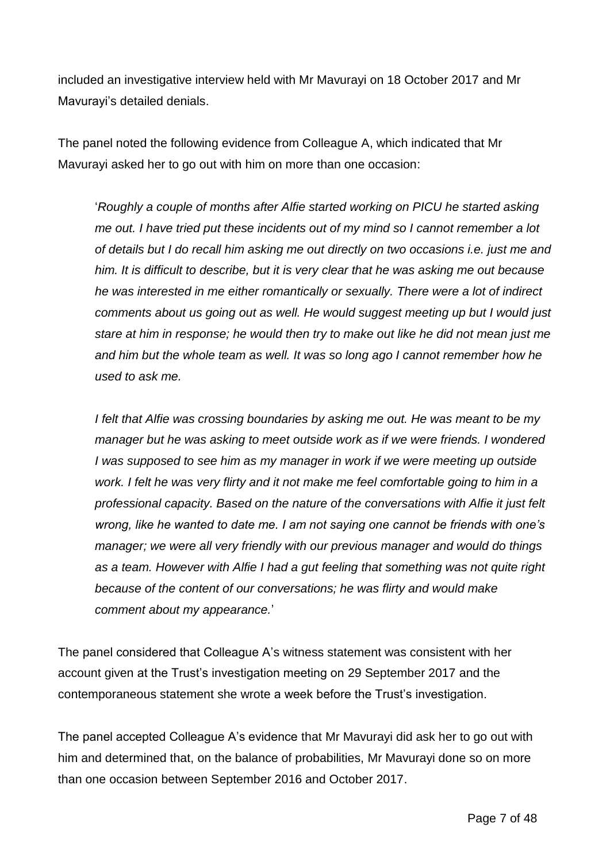included an investigative interview held with Mr Mavurayi on 18 October 2017 and Mr Mavurayi's detailed denials.

The panel noted the following evidence from Colleague A, which indicated that Mr Mavurayi asked her to go out with him on more than one occasion:

'*Roughly a couple of months after Alfie started working on PICU he started asking me out. I have tried put these incidents out of my mind so I cannot remember a lot of details but I do recall him asking me out directly on two occasions i.e. just me and him. It is difficult to describe, but it is very clear that he was asking me out because he was interested in me either romantically or sexually. There were a lot of indirect comments about us going out as well. He would suggest meeting up but I would just stare at him in response; he would then try to make out like he did not mean just me and him but the whole team as well. It was so long ago I cannot remember how he used to ask me.* 

*I felt that Alfie was crossing boundaries by asking me out. He was meant to be my manager but he was asking to meet outside work as if we were friends. I wondered I* was supposed to see him as my manager in work if we were meeting up outside *work. I felt he was very flirty and it not make me feel comfortable going to him in a professional capacity. Based on the nature of the conversations with Alfie it just felt wrong, like he wanted to date me. I am not saying one cannot be friends with one's manager; we were all very friendly with our previous manager and would do things as a team. However with Alfie I had a gut feeling that something was not quite right because of the content of our conversations; he was flirty and would make comment about my appearance.*'

The panel considered that Colleague A's witness statement was consistent with her account given at the Trust's investigation meeting on 29 September 2017 and the contemporaneous statement she wrote a week before the Trust's investigation.

The panel accepted Colleague A's evidence that Mr Mavurayi did ask her to go out with him and determined that, on the balance of probabilities, Mr Mavurayi done so on more than one occasion between September 2016 and October 2017.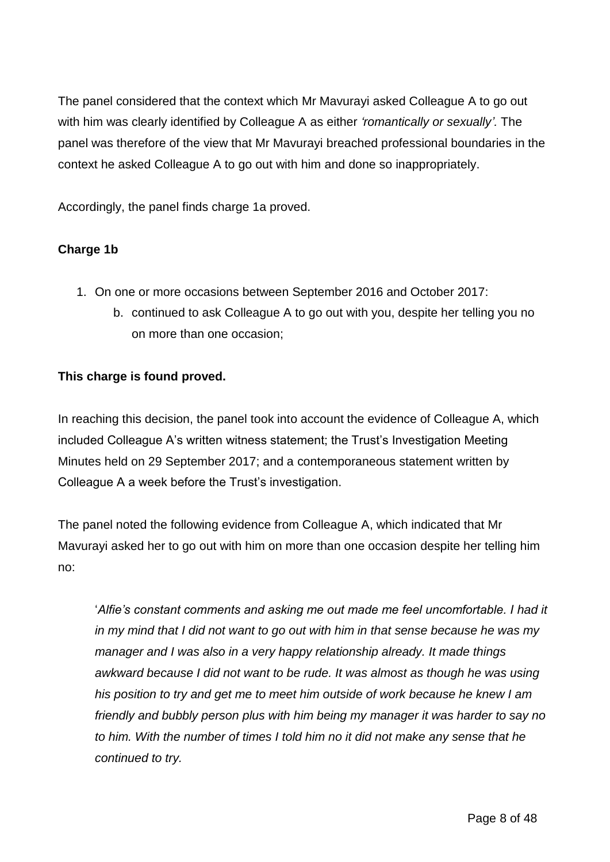The panel considered that the context which Mr Mavurayi asked Colleague A to go out with him was clearly identified by Colleague A as either *'romantically or sexually'.* The panel was therefore of the view that Mr Mavurayi breached professional boundaries in the context he asked Colleague A to go out with him and done so inappropriately.

Accordingly, the panel finds charge 1a proved.

# **Charge 1b**

- 1. On one or more occasions between September 2016 and October 2017:
	- b. continued to ask Colleague A to go out with you, despite her telling you no on more than one occasion;

## **This charge is found proved.**

In reaching this decision, the panel took into account the evidence of Colleague A, which included Colleague A's written witness statement; the Trust's Investigation Meeting Minutes held on 29 September 2017; and a contemporaneous statement written by Colleague A a week before the Trust's investigation.

The panel noted the following evidence from Colleague A, which indicated that Mr Mavurayi asked her to go out with him on more than one occasion despite her telling him no:

'*Alfie's constant comments and asking me out made me feel uncomfortable. I had it in my mind that I did not want to go out with him in that sense because he was my manager and I was also in a very happy relationship already. It made things awkward because I did not want to be rude. It was almost as though he was using his position to try and get me to meet him outside of work because he knew I am friendly and bubbly person plus with him being my manager it was harder to say no to him. With the number of times I told him no it did not make any sense that he continued to try.*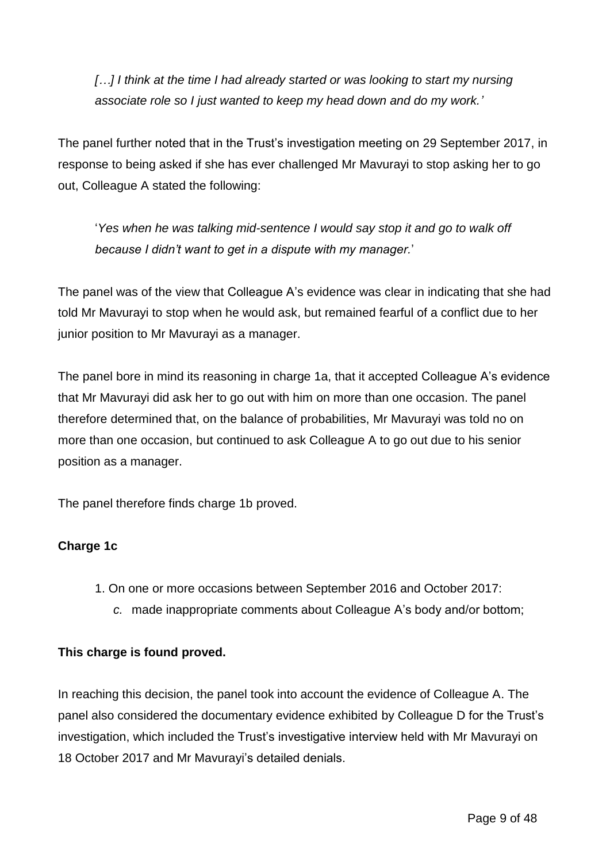*[…] I think at the time I had already started or was looking to start my nursing associate role so I just wanted to keep my head down and do my work.'*

The panel further noted that in the Trust's investigation meeting on 29 September 2017, in response to being asked if she has ever challenged Mr Mavurayi to stop asking her to go out, Colleague A stated the following:

'*Yes when he was talking mid-sentence I would say stop it and go to walk off because I didn't want to get in a dispute with my manager.*'

The panel was of the view that Colleague A's evidence was clear in indicating that she had told Mr Mavurayi to stop when he would ask, but remained fearful of a conflict due to her junior position to Mr Mavurayi as a manager.

The panel bore in mind its reasoning in charge 1a, that it accepted Colleague A's evidence that Mr Mavurayi did ask her to go out with him on more than one occasion. The panel therefore determined that, on the balance of probabilities, Mr Mavurayi was told no on more than one occasion, but continued to ask Colleague A to go out due to his senior position as a manager.

The panel therefore finds charge 1b proved.

### **Charge 1c**

- 1. On one or more occasions between September 2016 and October 2017:
	- *c.* made inappropriate comments about Colleague A's body and/or bottom;

#### **This charge is found proved.**

In reaching this decision, the panel took into account the evidence of Colleague A. The panel also considered the documentary evidence exhibited by Colleague D for the Trust's investigation, which included the Trust's investigative interview held with Mr Mavurayi on 18 October 2017 and Mr Mavurayi's detailed denials.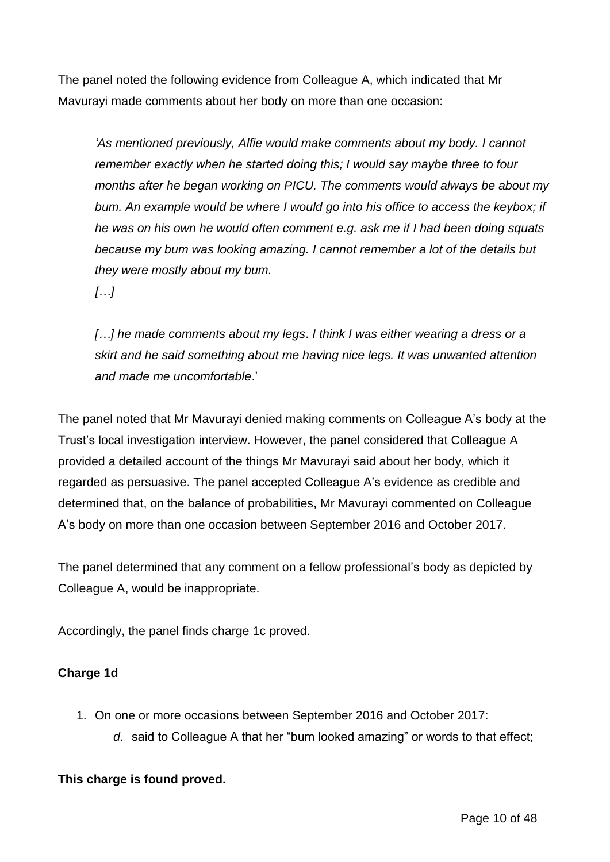The panel noted the following evidence from Colleague A, which indicated that Mr Mavurayi made comments about her body on more than one occasion:

*'As mentioned previously, Alfie would make comments about my body. I cannot remember exactly when he started doing this; I would say maybe three to four months after he began working on PICU. The comments would always be about my bum. An example would be where I would go into his office to access the keybox; if he was on his own he would often comment e.g. ask me if I had been doing squats because my bum was looking amazing. I cannot remember a lot of the details but they were mostly about my bum.*

*[…]* 

*[…] he made comments about my legs*. *I think I was either wearing a dress or a skirt and he said something about me having nice legs. It was unwanted attention and made me uncomfortable*.'

The panel noted that Mr Mavurayi denied making comments on Colleague A's body at the Trust's local investigation interview. However, the panel considered that Colleague A provided a detailed account of the things Mr Mavurayi said about her body, which it regarded as persuasive. The panel accepted Colleague A's evidence as credible and determined that, on the balance of probabilities, Mr Mavurayi commented on Colleague A's body on more than one occasion between September 2016 and October 2017.

The panel determined that any comment on a fellow professional's body as depicted by Colleague A, would be inappropriate.

Accordingly, the panel finds charge 1c proved.

### **Charge 1d**

- 1. On one or more occasions between September 2016 and October 2017:
	- *d.* said to Colleague A that her "bum looked amazing" or words to that effect;

#### **This charge is found proved.**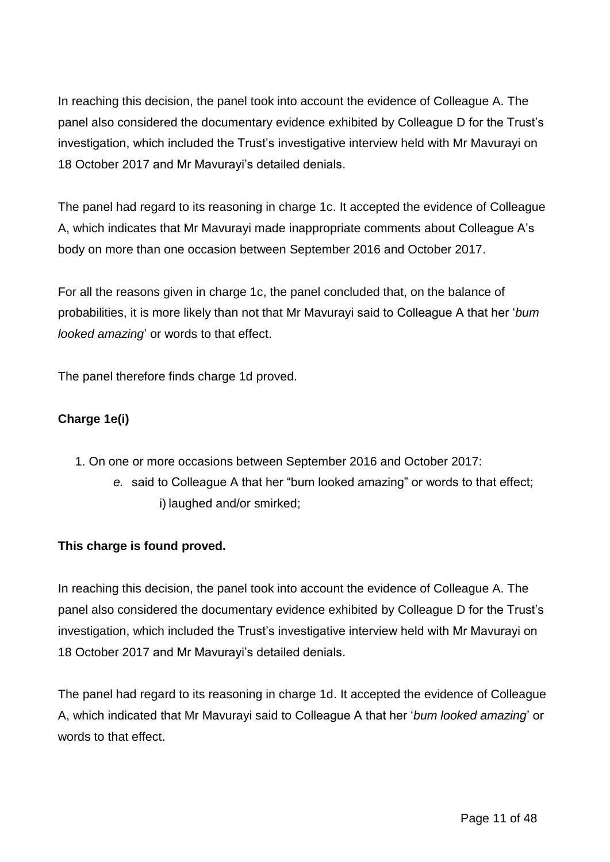In reaching this decision, the panel took into account the evidence of Colleague A. The panel also considered the documentary evidence exhibited by Colleague D for the Trust's investigation, which included the Trust's investigative interview held with Mr Mavurayi on 18 October 2017 and Mr Mavurayi's detailed denials.

The panel had regard to its reasoning in charge 1c. It accepted the evidence of Colleague A, which indicates that Mr Mavurayi made inappropriate comments about Colleague A's body on more than one occasion between September 2016 and October 2017.

For all the reasons given in charge 1c, the panel concluded that, on the balance of probabilities, it is more likely than not that Mr Mavurayi said to Colleague A that her '*bum looked amazing*' or words to that effect.

The panel therefore finds charge 1d proved.

## **Charge 1e(i)**

- 1. On one or more occasions between September 2016 and October 2017:
	- *e.* said to Colleague A that her "bum looked amazing" or words to that effect; i) laughed and/or smirked;

### **This charge is found proved.**

In reaching this decision, the panel took into account the evidence of Colleague A. The panel also considered the documentary evidence exhibited by Colleague D for the Trust's investigation, which included the Trust's investigative interview held with Mr Mavurayi on 18 October 2017 and Mr Mavurayi's detailed denials.

The panel had regard to its reasoning in charge 1d. It accepted the evidence of Colleague A, which indicated that Mr Mavurayi said to Colleague A that her '*bum looked amazing*' or words to that effect.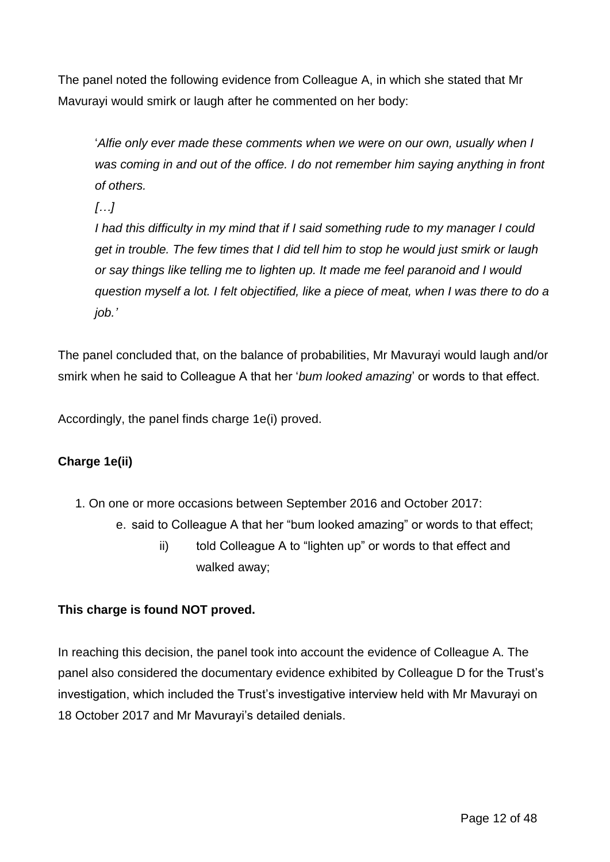The panel noted the following evidence from Colleague A, in which she stated that Mr Mavurayi would smirk or laugh after he commented on her body:

'*Alfie only ever made these comments when we were on our own, usually when I was coming in and out of the office. I do not remember him saying anything in front of others.* 

*[…]*

*I had this difficulty in my mind that if I said something rude to my manager I could get in trouble. The few times that I did tell him to stop he would just smirk or laugh or say things like telling me to lighten up. It made me feel paranoid and I would question myself a lot. I felt objectified, like a piece of meat, when I was there to do a job.'*

The panel concluded that, on the balance of probabilities, Mr Mavurayi would laugh and/or smirk when he said to Colleague A that her '*bum looked amazing*' or words to that effect.

Accordingly, the panel finds charge 1e(i) proved.

# **Charge 1e(ii)**

- 1. On one or more occasions between September 2016 and October 2017:
	- e. said to Colleague A that her "bum looked amazing" or words to that effect;
		- ii) told Colleague A to "lighten up" or words to that effect and walked away;

### **This charge is found NOT proved.**

In reaching this decision, the panel took into account the evidence of Colleague A. The panel also considered the documentary evidence exhibited by Colleague D for the Trust's investigation, which included the Trust's investigative interview held with Mr Mavurayi on 18 October 2017 and Mr Mavurayi's detailed denials.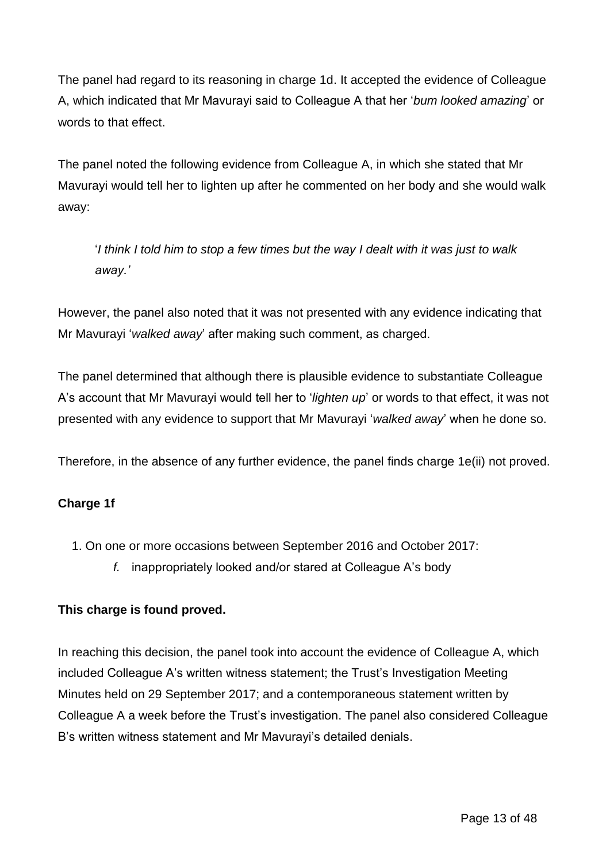The panel had regard to its reasoning in charge 1d. It accepted the evidence of Colleague A, which indicated that Mr Mavurayi said to Colleague A that her '*bum looked amazing*' or words to that effect.

The panel noted the following evidence from Colleague A, in which she stated that Mr Mavurayi would tell her to lighten up after he commented on her body and she would walk away:

'*I think I told him to stop a few times but the way I dealt with it was just to walk away.'*

However, the panel also noted that it was not presented with any evidence indicating that Mr Mavurayi '*walked away*' after making such comment, as charged.

The panel determined that although there is plausible evidence to substantiate Colleague A's account that Mr Mavurayi would tell her to '*lighten up*' or words to that effect, it was not presented with any evidence to support that Mr Mavurayi '*walked away*' when he done so.

Therefore, in the absence of any further evidence, the panel finds charge 1e(ii) not proved.

# **Charge 1f**

- 1. On one or more occasions between September 2016 and October 2017:
	- *f.* inappropriately looked and/or stared at Colleague A's body

### **This charge is found proved.**

In reaching this decision, the panel took into account the evidence of Colleague A, which included Colleague A's written witness statement; the Trust's Investigation Meeting Minutes held on 29 September 2017; and a contemporaneous statement written by Colleague A a week before the Trust's investigation. The panel also considered Colleague B's written witness statement and Mr Mavurayi's detailed denials.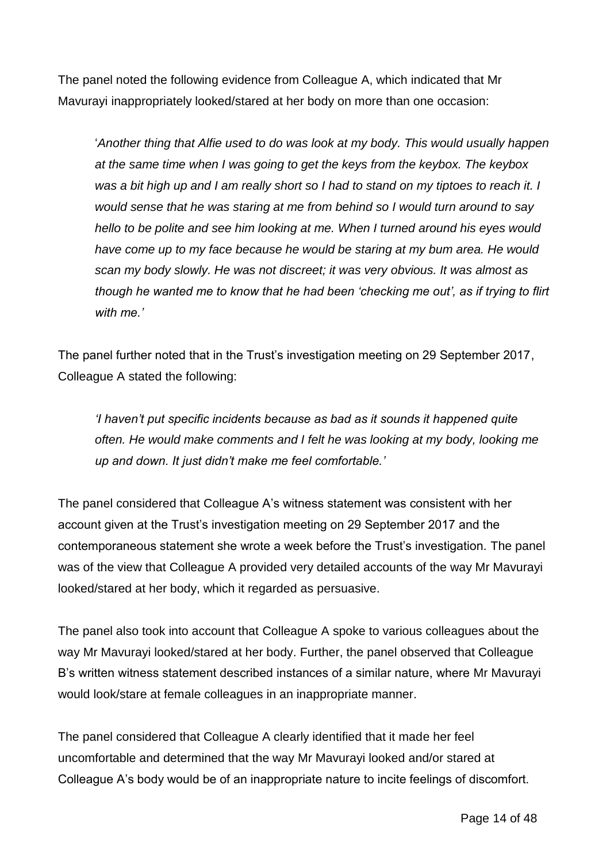The panel noted the following evidence from Colleague A, which indicated that Mr Mavurayi inappropriately looked/stared at her body on more than one occasion:

'*Another thing that Alfie used to do was look at my body. This would usually happen at the same time when I was going to get the keys from the keybox. The keybox was a bit high up and I am really short so I had to stand on my tiptoes to reach it. I would sense that he was staring at me from behind so I would turn around to say hello to be polite and see him looking at me. When I turned around his eyes would have come up to my face because he would be staring at my bum area. He would scan my body slowly. He was not discreet; it was very obvious. It was almost as though he wanted me to know that he had been 'checking me out', as if trying to flirt with me.'*

The panel further noted that in the Trust's investigation meeting on 29 September 2017, Colleague A stated the following:

*'I haven't put specific incidents because as bad as it sounds it happened quite often. He would make comments and I felt he was looking at my body, looking me up and down. It just didn't make me feel comfortable.'* 

The panel considered that Colleague A's witness statement was consistent with her account given at the Trust's investigation meeting on 29 September 2017 and the contemporaneous statement she wrote a week before the Trust's investigation. The panel was of the view that Colleague A provided very detailed accounts of the way Mr Mavurayi looked/stared at her body, which it regarded as persuasive.

The panel also took into account that Colleague A spoke to various colleagues about the way Mr Mavurayi looked/stared at her body. Further, the panel observed that Colleague B's written witness statement described instances of a similar nature, where Mr Mavurayi would look/stare at female colleagues in an inappropriate manner.

The panel considered that Colleague A clearly identified that it made her feel uncomfortable and determined that the way Mr Mavurayi looked and/or stared at Colleague A's body would be of an inappropriate nature to incite feelings of discomfort.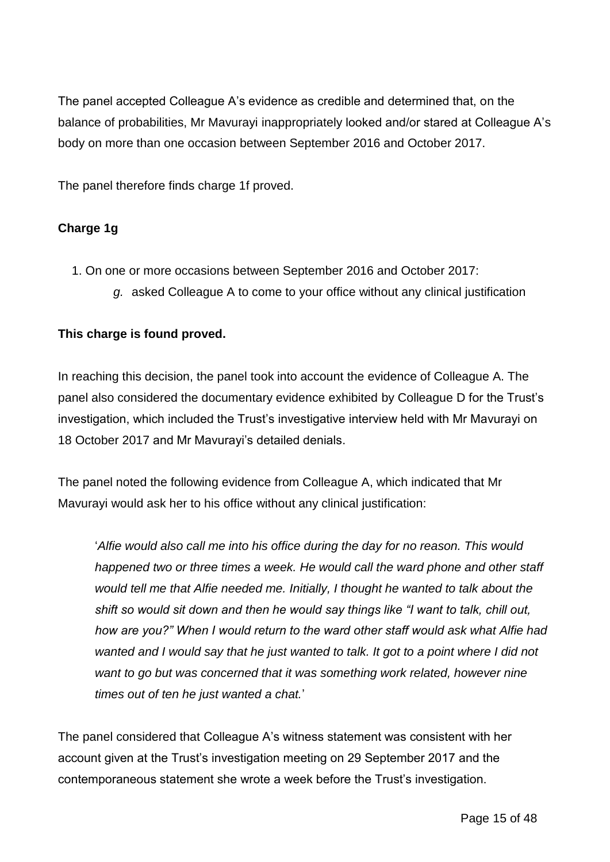The panel accepted Colleague A's evidence as credible and determined that, on the balance of probabilities, Mr Mavurayi inappropriately looked and/or stared at Colleague A's body on more than one occasion between September 2016 and October 2017.

The panel therefore finds charge 1f proved.

## **Charge 1g**

- 1. On one or more occasions between September 2016 and October 2017:
	- *g.* asked Colleague A to come to your office without any clinical justification

### **This charge is found proved.**

In reaching this decision, the panel took into account the evidence of Colleague A. The panel also considered the documentary evidence exhibited by Colleague D for the Trust's investigation, which included the Trust's investigative interview held with Mr Mavurayi on 18 October 2017 and Mr Mavurayi's detailed denials.

The panel noted the following evidence from Colleague A, which indicated that Mr Mavurayi would ask her to his office without any clinical justification:

'*Alfie would also call me into his office during the day for no reason. This would happened two or three times a week. He would call the ward phone and other staff would tell me that Alfie needed me. Initially, I thought he wanted to talk about the shift so would sit down and then he would say things like "I want to talk, chill out, how are you?" When I would return to the ward other staff would ask what Alfie had wanted and I would say that he just wanted to talk. It got to a point where I did not want to go but was concerned that it was something work related, however nine times out of ten he just wanted a chat.*'

The panel considered that Colleague A's witness statement was consistent with her account given at the Trust's investigation meeting on 29 September 2017 and the contemporaneous statement she wrote a week before the Trust's investigation.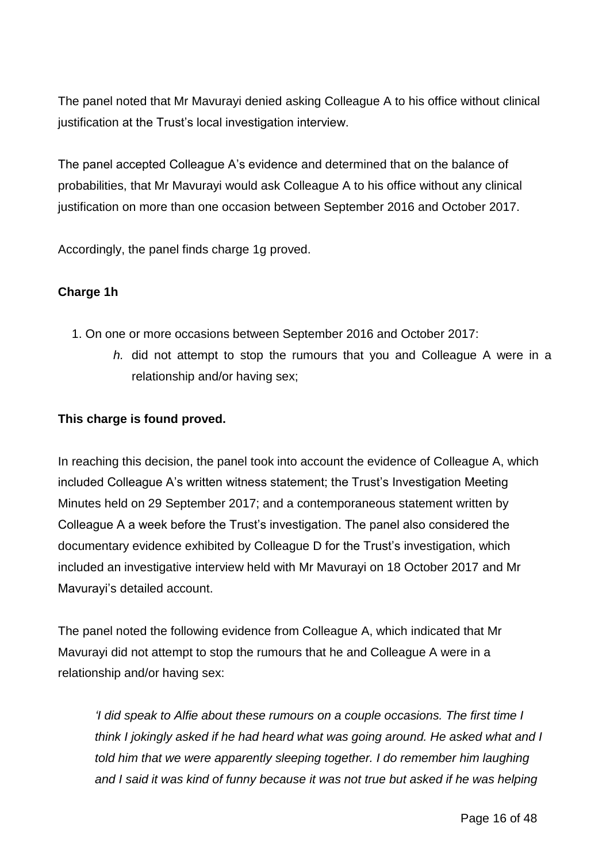The panel noted that Mr Mavurayi denied asking Colleague A to his office without clinical justification at the Trust's local investigation interview.

The panel accepted Colleague A's evidence and determined that on the balance of probabilities, that Mr Mavurayi would ask Colleague A to his office without any clinical justification on more than one occasion between September 2016 and October 2017.

Accordingly, the panel finds charge 1g proved.

## **Charge 1h**

- 1. On one or more occasions between September 2016 and October 2017:
	- *h.* did not attempt to stop the rumours that you and Colleague A were in a relationship and/or having sex;

### **This charge is found proved.**

In reaching this decision, the panel took into account the evidence of Colleague A, which included Colleague A's written witness statement; the Trust's Investigation Meeting Minutes held on 29 September 2017; and a contemporaneous statement written by Colleague A a week before the Trust's investigation. The panel also considered the documentary evidence exhibited by Colleague D for the Trust's investigation, which included an investigative interview held with Mr Mavurayi on 18 October 2017 and Mr Mavurayi's detailed account.

The panel noted the following evidence from Colleague A, which indicated that Mr Mavurayi did not attempt to stop the rumours that he and Colleague A were in a relationship and/or having sex:

*'I did speak to Alfie about these rumours on a couple occasions. The first time I think I jokingly asked if he had heard what was going around. He asked what and I told him that we were apparently sleeping together. I do remember him laughing and I said it was kind of funny because it was not true but asked if he was helping*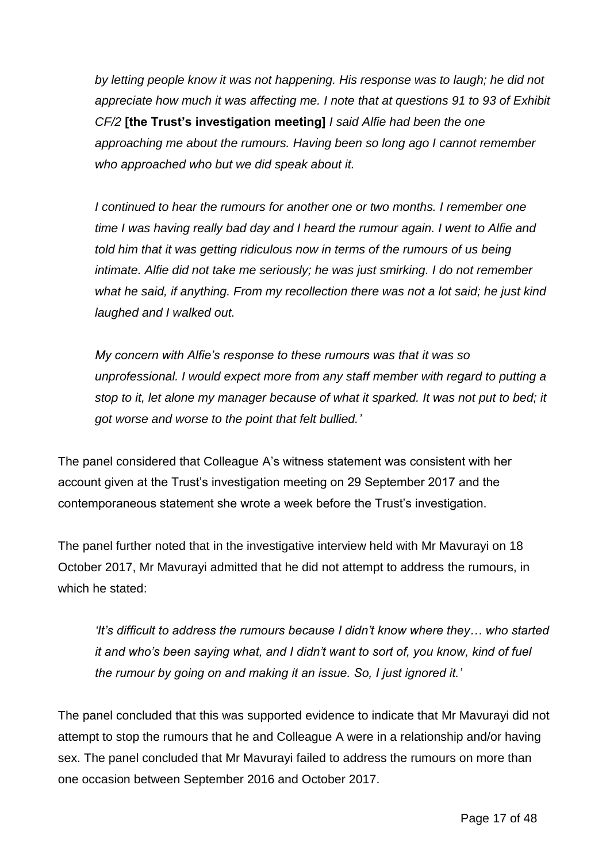*by letting people know it was not happening. His response was to laugh; he did not appreciate how much it was affecting me. I note that at questions 91 to 93 of Exhibit CF/2* **[the Trust's investigation meeting]** *I said Alfie had been the one approaching me about the rumours. Having been so long ago I cannot remember who approached who but we did speak about it.* 

*I continued to hear the rumours for another one or two months. I remember one time I was having really bad day and I heard the rumour again. I went to Alfie and told him that it was getting ridiculous now in terms of the rumours of us being intimate. Alfie did not take me seriously; he was just smirking. I do not remember what he said, if anything. From my recollection there was not a lot said; he just kind laughed and I walked out.* 

*My concern with Alfie's response to these rumours was that it was so unprofessional. I would expect more from any staff member with regard to putting a stop to it, let alone my manager because of what it sparked. It was not put to bed; it got worse and worse to the point that felt bullied.'* 

The panel considered that Colleague A's witness statement was consistent with her account given at the Trust's investigation meeting on 29 September 2017 and the contemporaneous statement she wrote a week before the Trust's investigation.

The panel further noted that in the investigative interview held with Mr Mavurayi on 18 October 2017, Mr Mavurayi admitted that he did not attempt to address the rumours, in which he stated:

*'It's difficult to address the rumours because I didn't know where they… who started it and who's been saying what, and I didn't want to sort of, you know, kind of fuel the rumour by going on and making it an issue. So, I just ignored it.'* 

The panel concluded that this was supported evidence to indicate that Mr Mavurayi did not attempt to stop the rumours that he and Colleague A were in a relationship and/or having sex. The panel concluded that Mr Mavurayi failed to address the rumours on more than one occasion between September 2016 and October 2017.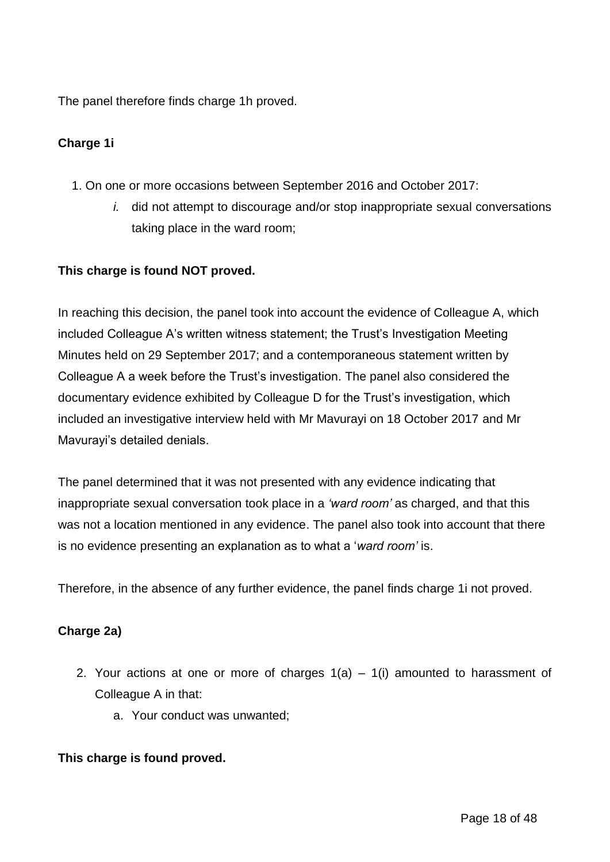The panel therefore finds charge 1h proved.

## **Charge 1i**

- 1. On one or more occasions between September 2016 and October 2017:
	- *i.* did not attempt to discourage and/or stop inappropriate sexual conversations taking place in the ward room;

### **This charge is found NOT proved.**

In reaching this decision, the panel took into account the evidence of Colleague A, which included Colleague A's written witness statement; the Trust's Investigation Meeting Minutes held on 29 September 2017; and a contemporaneous statement written by Colleague A a week before the Trust's investigation. The panel also considered the documentary evidence exhibited by Colleague D for the Trust's investigation, which included an investigative interview held with Mr Mavurayi on 18 October 2017 and Mr Mavurayi's detailed denials.

The panel determined that it was not presented with any evidence indicating that inappropriate sexual conversation took place in a *'ward room'* as charged, and that this was not a location mentioned in any evidence. The panel also took into account that there is no evidence presenting an explanation as to what a '*ward room'* is.

Therefore, in the absence of any further evidence, the panel finds charge 1i not proved.

### **Charge 2a)**

- 2. Your actions at one or more of charges  $1(a) 1(i)$  amounted to harassment of Colleague A in that:
	- a. Your conduct was unwanted;

#### **This charge is found proved.**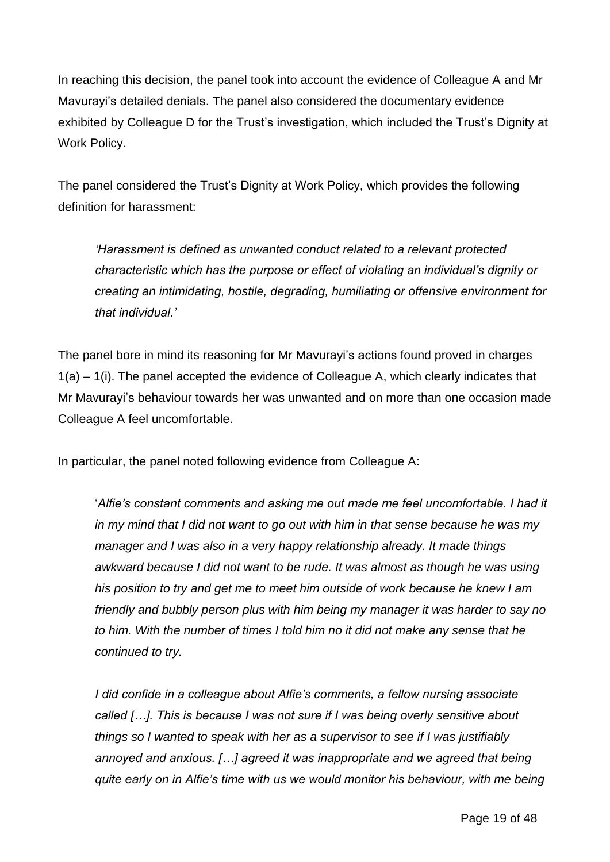In reaching this decision, the panel took into account the evidence of Colleague A and Mr Mavurayi's detailed denials. The panel also considered the documentary evidence exhibited by Colleague D for the Trust's investigation, which included the Trust's Dignity at Work Policy.

The panel considered the Trust's Dignity at Work Policy, which provides the following definition for harassment:

*'Harassment is defined as unwanted conduct related to a relevant protected characteristic which has the purpose or effect of violating an individual's dignity or creating an intimidating, hostile, degrading, humiliating or offensive environment for that individual.'* 

The panel bore in mind its reasoning for Mr Mavurayi's actions found proved in charges 1(a) – 1(i). The panel accepted the evidence of Colleague A, which clearly indicates that Mr Mavurayi's behaviour towards her was unwanted and on more than one occasion made Colleague A feel uncomfortable.

In particular, the panel noted following evidence from Colleague A:

'*Alfie's constant comments and asking me out made me feel uncomfortable. I had it in my mind that I did not want to go out with him in that sense because he was my manager and I was also in a very happy relationship already. It made things awkward because I did not want to be rude. It was almost as though he was using his position to try and get me to meet him outside of work because he knew I am friendly and bubbly person plus with him being my manager it was harder to say no to him. With the number of times I told him no it did not make any sense that he continued to try.* 

*I did confide in a colleague about Alfie's comments, a fellow nursing associate called […]. This is because I was not sure if I was being overly sensitive about things so I wanted to speak with her as a supervisor to see if I was justifiably annoyed and anxious. […] agreed it was inappropriate and we agreed that being quite early on in Alfie's time with us we would monitor his behaviour, with me being*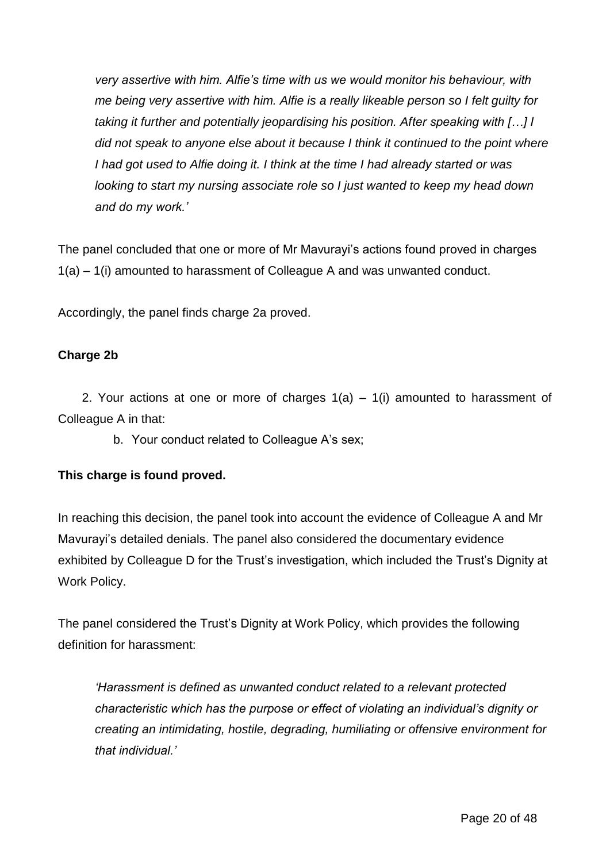*very assertive with him. Alfie's time with us we would monitor his behaviour, with me being very assertive with him. Alfie is a really likeable person so I felt guilty for taking it further and potentially jeopardising his position. After speaking with […] I did not speak to anyone else about it because I think it continued to the point where I had got used to Alfie doing it. I think at the time I had already started or was looking to start my nursing associate role so I just wanted to keep my head down and do my work.'* 

The panel concluded that one or more of Mr Mavurayi's actions found proved in charges 1(a) – 1(i) amounted to harassment of Colleague A and was unwanted conduct.

Accordingly, the panel finds charge 2a proved.

#### **Charge 2b**

2. Your actions at one or more of charges  $1(a) - 1(i)$  amounted to harassment of Colleague A in that:

b. Your conduct related to Colleague A's sex;

#### **This charge is found proved.**

In reaching this decision, the panel took into account the evidence of Colleague A and Mr Mavurayi's detailed denials. The panel also considered the documentary evidence exhibited by Colleague D for the Trust's investigation, which included the Trust's Dignity at Work Policy.

The panel considered the Trust's Dignity at Work Policy, which provides the following definition for harassment:

*'Harassment is defined as unwanted conduct related to a relevant protected characteristic which has the purpose or effect of violating an individual's dignity or creating an intimidating, hostile, degrading, humiliating or offensive environment for that individual.'*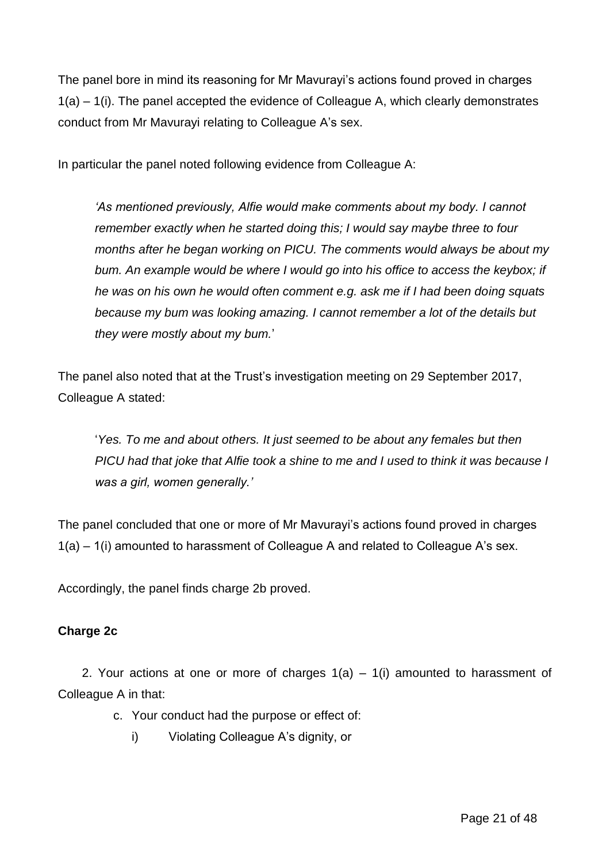The panel bore in mind its reasoning for Mr Mavurayi's actions found proved in charges 1(a) – 1(i). The panel accepted the evidence of Colleague A, which clearly demonstrates conduct from Mr Mavurayi relating to Colleague A's sex.

In particular the panel noted following evidence from Colleague A:

*'As mentioned previously, Alfie would make comments about my body. I cannot remember exactly when he started doing this; I would say maybe three to four months after he began working on PICU. The comments would always be about my bum. An example would be where I would go into his office to access the keybox; if he was on his own he would often comment e.g. ask me if I had been doing squats because my bum was looking amazing. I cannot remember a lot of the details but they were mostly about my bum.*'

The panel also noted that at the Trust's investigation meeting on 29 September 2017, Colleague A stated:

'*Yes. To me and about others. It just seemed to be about any females but then PICU had that joke that Alfie took a shine to me and I used to think it was because I was a girl, women generally.'*

The panel concluded that one or more of Mr Mavurayi's actions found proved in charges 1(a) – 1(i) amounted to harassment of Colleague A and related to Colleague A's sex.

Accordingly, the panel finds charge 2b proved.

### **Charge 2c**

2. Your actions at one or more of charges  $1(a) - 1(i)$  amounted to harassment of Colleague A in that:

- c. Your conduct had the purpose or effect of:
	- i) Violating Colleague A's dignity, or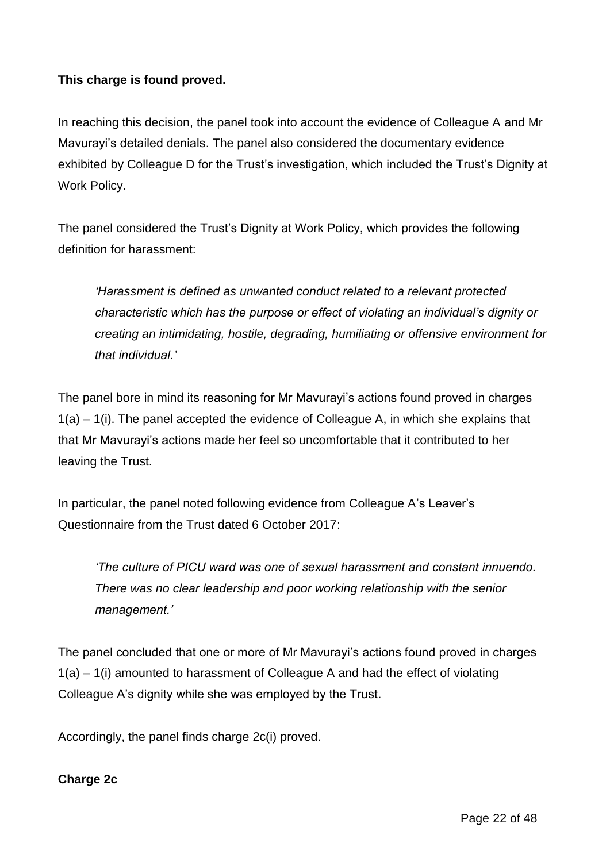## **This charge is found proved.**

In reaching this decision, the panel took into account the evidence of Colleague A and Mr Mavurayi's detailed denials. The panel also considered the documentary evidence exhibited by Colleague D for the Trust's investigation, which included the Trust's Dignity at Work Policy.

The panel considered the Trust's Dignity at Work Policy, which provides the following definition for harassment:

*'Harassment is defined as unwanted conduct related to a relevant protected characteristic which has the purpose or effect of violating an individual's dignity or creating an intimidating, hostile, degrading, humiliating or offensive environment for that individual.'* 

The panel bore in mind its reasoning for Mr Mavurayi's actions found proved in charges  $1(a) - 1(i)$ . The panel accepted the evidence of Colleague A, in which she explains that that Mr Mavurayi's actions made her feel so uncomfortable that it contributed to her leaving the Trust.

In particular, the panel noted following evidence from Colleague A's Leaver's Questionnaire from the Trust dated 6 October 2017:

*'The culture of PICU ward was one of sexual harassment and constant innuendo. There was no clear leadership and poor working relationship with the senior management.'* 

The panel concluded that one or more of Mr Mavurayi's actions found proved in charges 1(a) – 1(i) amounted to harassment of Colleague A and had the effect of violating Colleague A's dignity while she was employed by the Trust.

Accordingly, the panel finds charge 2c(i) proved.

### **Charge 2c**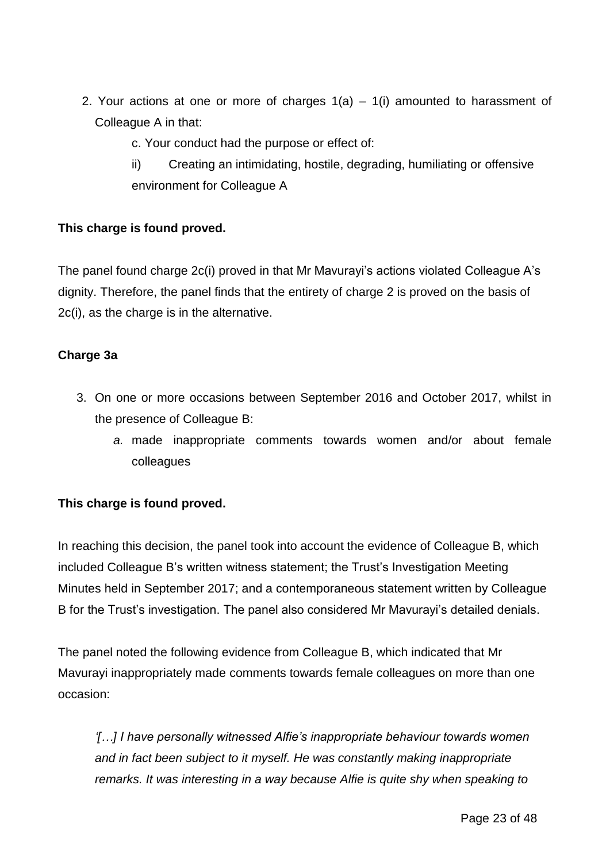- 2. Your actions at one or more of charges  $1(a) 1(i)$  amounted to harassment of Colleague A in that:
	- c. Your conduct had the purpose or effect of:
	- ii) Creating an intimidating, hostile, degrading, humiliating or offensive environment for Colleague A

## **This charge is found proved.**

The panel found charge 2c(i) proved in that Mr Mavurayi's actions violated Colleague A's dignity. Therefore, the panel finds that the entirety of charge 2 is proved on the basis of 2c(i), as the charge is in the alternative.

### **Charge 3a**

- 3. On one or more occasions between September 2016 and October 2017, whilst in the presence of Colleague B:
	- *a.* made inappropriate comments towards women and/or about female colleagues

# **This charge is found proved.**

In reaching this decision, the panel took into account the evidence of Colleague B, which included Colleague B's written witness statement; the Trust's Investigation Meeting Minutes held in September 2017; and a contemporaneous statement written by Colleague B for the Trust's investigation. The panel also considered Mr Mavurayi's detailed denials.

The panel noted the following evidence from Colleague B, which indicated that Mr Mavurayi inappropriately made comments towards female colleagues on more than one occasion:

*'[…] I have personally witnessed Alfie's inappropriate behaviour towards women and in fact been subject to it myself. He was constantly making inappropriate remarks. It was interesting in a way because Alfie is quite shy when speaking to*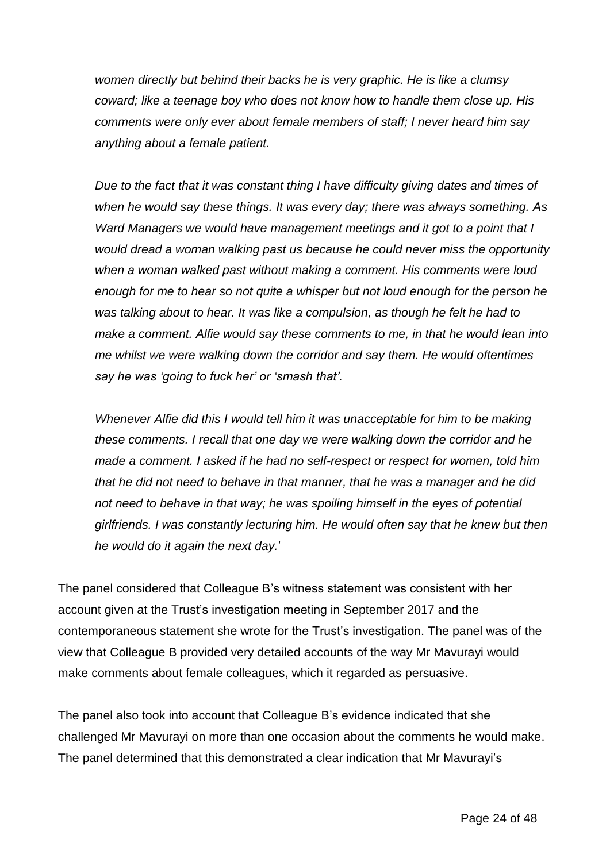*women directly but behind their backs he is very graphic. He is like a clumsy coward; like a teenage boy who does not know how to handle them close up. His comments were only ever about female members of staff; I never heard him say anything about a female patient.* 

*Due to the fact that it was constant thing I have difficulty giving dates and times of when he would say these things. It was every day; there was always something. As Ward Managers we would have management meetings and it got to a point that I would dread a woman walking past us because he could never miss the opportunity when a woman walked past without making a comment. His comments were loud enough for me to hear so not quite a whisper but not loud enough for the person he was talking about to hear. It was like a compulsion, as though he felt he had to make a comment. Alfie would say these comments to me, in that he would lean into me whilst we were walking down the corridor and say them. He would oftentimes say he was 'going to fuck her' or 'smash that'.* 

*Whenever Alfie did this I would tell him it was unacceptable for him to be making these comments. I recall that one day we were walking down the corridor and he made a comment. I asked if he had no self-respect or respect for women, told him that he did not need to behave in that manner, that he was a manager and he did not need to behave in that way; he was spoiling himself in the eyes of potential girlfriends. I was constantly lecturing him. He would often say that he knew but then he would do it again the next day.*'

The panel considered that Colleague B's witness statement was consistent with her account given at the Trust's investigation meeting in September 2017 and the contemporaneous statement she wrote for the Trust's investigation. The panel was of the view that Colleague B provided very detailed accounts of the way Mr Mavurayi would make comments about female colleagues, which it regarded as persuasive.

The panel also took into account that Colleague B's evidence indicated that she challenged Mr Mavurayi on more than one occasion about the comments he would make. The panel determined that this demonstrated a clear indication that Mr Mavurayi's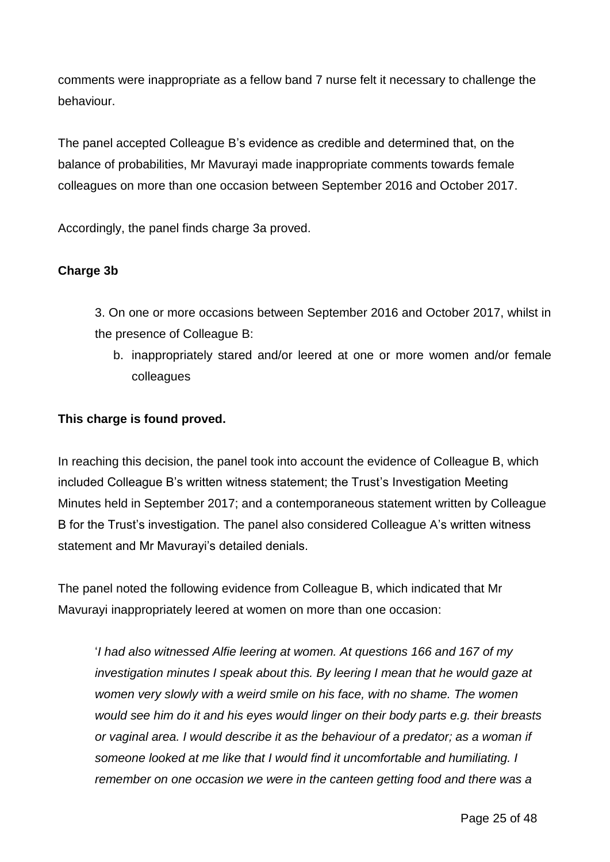comments were inappropriate as a fellow band 7 nurse felt it necessary to challenge the behaviour.

The panel accepted Colleague B's evidence as credible and determined that, on the balance of probabilities, Mr Mavurayi made inappropriate comments towards female colleagues on more than one occasion between September 2016 and October 2017.

Accordingly, the panel finds charge 3a proved.

#### **Charge 3b**

3. On one or more occasions between September 2016 and October 2017, whilst in the presence of Colleague B:

b. inappropriately stared and/or leered at one or more women and/or female colleagues

#### **This charge is found proved.**

In reaching this decision, the panel took into account the evidence of Colleague B, which included Colleague B's written witness statement; the Trust's Investigation Meeting Minutes held in September 2017; and a contemporaneous statement written by Colleague B for the Trust's investigation. The panel also considered Colleague A's written witness statement and Mr Mavurayi's detailed denials.

The panel noted the following evidence from Colleague B, which indicated that Mr Mavurayi inappropriately leered at women on more than one occasion:

'*I had also witnessed Alfie leering at women. At questions 166 and 167 of my investigation minutes I speak about this. By leering I mean that he would gaze at women very slowly with a weird smile on his face, with no shame. The women would see him do it and his eyes would linger on their body parts e.g. their breasts or vaginal area. I would describe it as the behaviour of a predator; as a woman if someone looked at me like that I would find it uncomfortable and humiliating. I remember on one occasion we were in the canteen getting food and there was a*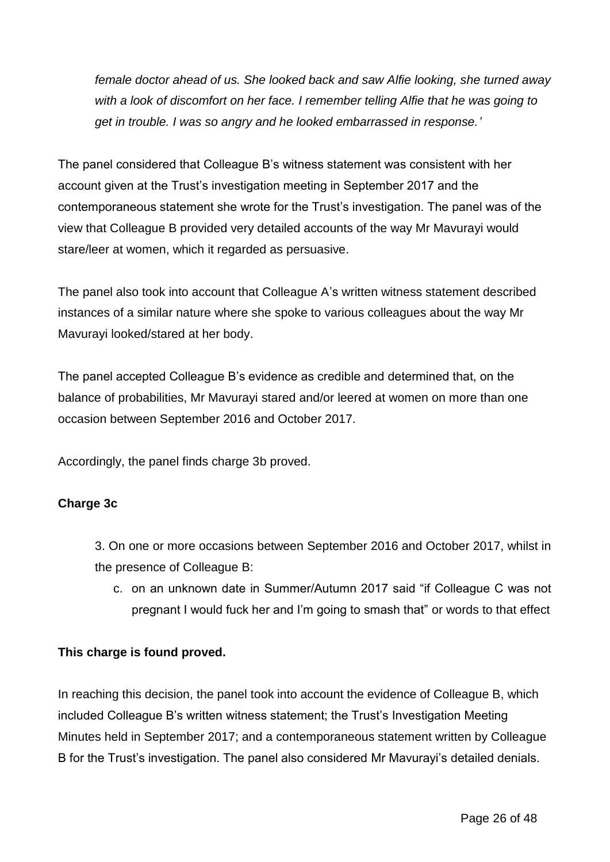*female doctor ahead of us. She looked back and saw Alfie looking, she turned away with a look of discomfort on her face. I remember telling Alfie that he was going to get in trouble. I was so angry and he looked embarrassed in response.'*

The panel considered that Colleague B's witness statement was consistent with her account given at the Trust's investigation meeting in September 2017 and the contemporaneous statement she wrote for the Trust's investigation. The panel was of the view that Colleague B provided very detailed accounts of the way Mr Mavurayi would stare/leer at women, which it regarded as persuasive.

The panel also took into account that Colleague A's written witness statement described instances of a similar nature where she spoke to various colleagues about the way Mr Mavurayi looked/stared at her body.

The panel accepted Colleague B's evidence as credible and determined that, on the balance of probabilities, Mr Mavurayi stared and/or leered at women on more than one occasion between September 2016 and October 2017.

Accordingly, the panel finds charge 3b proved.

### **Charge 3c**

3. On one or more occasions between September 2016 and October 2017, whilst in the presence of Colleague B:

c. on an unknown date in Summer/Autumn 2017 said "if Colleague C was not pregnant I would fuck her and I'm going to smash that" or words to that effect

### **This charge is found proved.**

In reaching this decision, the panel took into account the evidence of Colleague B, which included Colleague B's written witness statement; the Trust's Investigation Meeting Minutes held in September 2017; and a contemporaneous statement written by Colleague B for the Trust's investigation. The panel also considered Mr Mavurayi's detailed denials.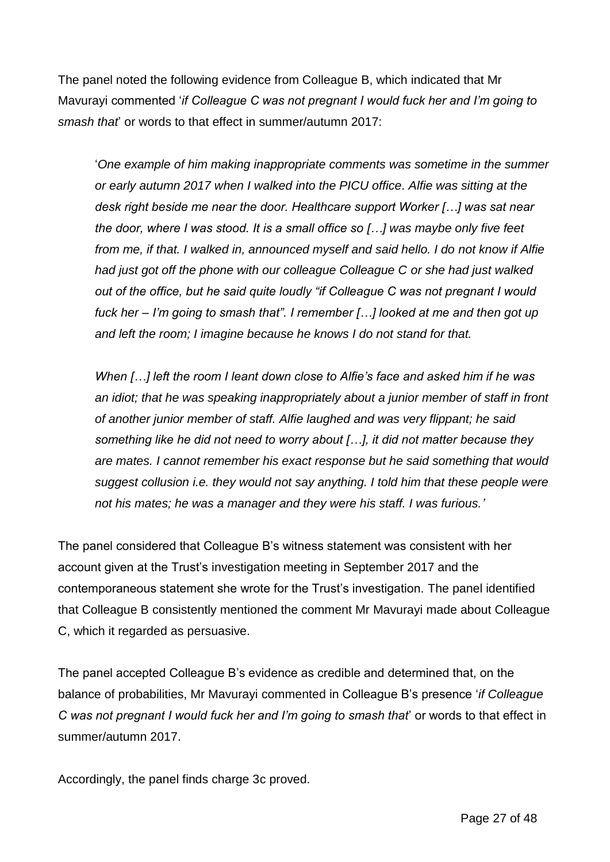The panel noted the following evidence from Colleague B, which indicated that Mr Mavurayi commented '*if Colleague C was not pregnant I would fuck her and I'm going to smash that*' or words to that effect in summer/autumn 2017:

'*One example of him making inappropriate comments was sometime in the summer or early autumn 2017 when I walked into the PICU office. Alfie was sitting at the desk right beside me near the door. Healthcare support Worker […] was sat near the door, where I was stood. It is a small office so […] was maybe only five feet from me, if that. I walked in, announced myself and said hello. I do not know if Alfie had just got off the phone with our colleague Colleague C or she had just walked out of the office, but he said quite loudly "if Colleague C was not pregnant I would fuck her – I'm going to smash that". I remember […] looked at me and then got up and left the room; I imagine because he knows I do not stand for that.* 

*When […] left the room I leant down close to Alfie's face and asked him if he was an idiot; that he was speaking inappropriately about a junior member of staff in front of another junior member of staff. Alfie laughed and was very flippant; he said something like he did not need to worry about […], it did not matter because they are mates. I cannot remember his exact response but he said something that would suggest collusion i.e. they would not say anything. I told him that these people were not his mates; he was a manager and they were his staff. I was furious.'*

The panel considered that Colleague B's witness statement was consistent with her account given at the Trust's investigation meeting in September 2017 and the contemporaneous statement she wrote for the Trust's investigation. The panel identified that Colleague B consistently mentioned the comment Mr Mavurayi made about Colleague C, which it regarded as persuasive.

The panel accepted Colleague B's evidence as credible and determined that, on the balance of probabilities, Mr Mavurayi commented in Colleague B's presence '*if Colleague C was not pregnant I would fuck her and I'm going to smash that*' or words to that effect in summer/autumn 2017.

Accordingly, the panel finds charge 3c proved.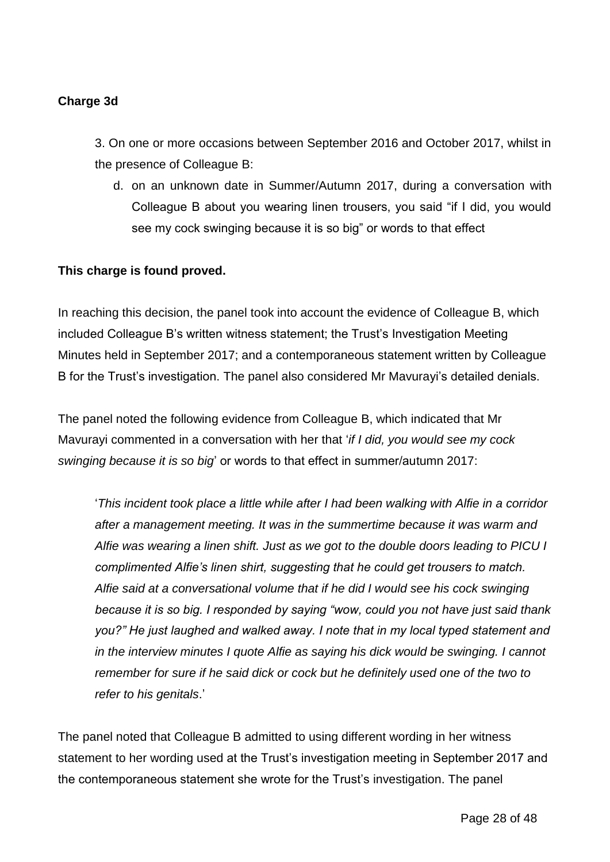## **Charge 3d**

3. On one or more occasions between September 2016 and October 2017, whilst in the presence of Colleague B:

d. on an unknown date in Summer/Autumn 2017, during a conversation with Colleague B about you wearing linen trousers, you said "if I did, you would see my cock swinging because it is so big" or words to that effect

#### **This charge is found proved.**

In reaching this decision, the panel took into account the evidence of Colleague B, which included Colleague B's written witness statement; the Trust's Investigation Meeting Minutes held in September 2017; and a contemporaneous statement written by Colleague B for the Trust's investigation. The panel also considered Mr Mavurayi's detailed denials.

The panel noted the following evidence from Colleague B, which indicated that Mr Mavurayi commented in a conversation with her that '*if I did, you would see my cock swinging because it is so big*' or words to that effect in summer/autumn 2017:

'*This incident took place a little while after I had been walking with Alfie in a corridor after a management meeting. It was in the summertime because it was warm and Alfie was wearing a linen shift. Just as we got to the double doors leading to PICU I complimented Alfie's linen shirt, suggesting that he could get trousers to match. Alfie said at a conversational volume that if he did I would see his cock swinging because it is so big. I responded by saying "wow, could you not have just said thank you?" He just laughed and walked away. I note that in my local typed statement and in the interview minutes I quote Alfie as saying his dick would be swinging. I cannot remember for sure if he said dick or cock but he definitely used one of the two to refer to his genitals*.'

The panel noted that Colleague B admitted to using different wording in her witness statement to her wording used at the Trust's investigation meeting in September 2017 and the contemporaneous statement she wrote for the Trust's investigation. The panel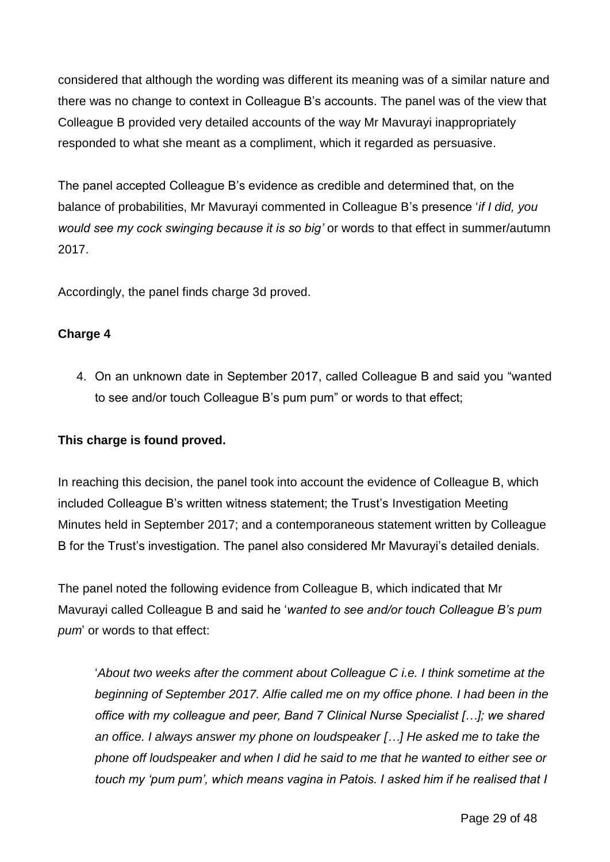considered that although the wording was different its meaning was of a similar nature and there was no change to context in Colleague B's accounts. The panel was of the view that Colleague B provided very detailed accounts of the way Mr Mavurayi inappropriately responded to what she meant as a compliment, which it regarded as persuasive.

The panel accepted Colleague B's evidence as credible and determined that, on the balance of probabilities, Mr Mavurayi commented in Colleague B's presence '*if I did, you would see my cock swinging because it is so big'* or words to that effect in summer/autumn 2017.

Accordingly, the panel finds charge 3d proved.

#### **Charge 4**

4. On an unknown date in September 2017, called Colleague B and said you "wanted to see and/or touch Colleague B's pum pum" or words to that effect;

#### **This charge is found proved.**

In reaching this decision, the panel took into account the evidence of Colleague B, which included Colleague B's written witness statement; the Trust's Investigation Meeting Minutes held in September 2017; and a contemporaneous statement written by Colleague B for the Trust's investigation. The panel also considered Mr Mavurayi's detailed denials.

The panel noted the following evidence from Colleague B, which indicated that Mr Mavurayi called Colleague B and said he '*wanted to see and/or touch Colleague B's pum pum*' or words to that effect:

'*About two weeks after the comment about Colleague C i.e. I think sometime at the beginning of September 2017. Alfie called me on my office phone. I had been in the office with my colleague and peer, Band 7 Clinical Nurse Specialist […]; we shared an office. I always answer my phone on loudspeaker […] He asked me to take the phone off loudspeaker and when I did he said to me that he wanted to either see or touch my 'pum pum', which means vagina in Patois. I asked him if he realised that I*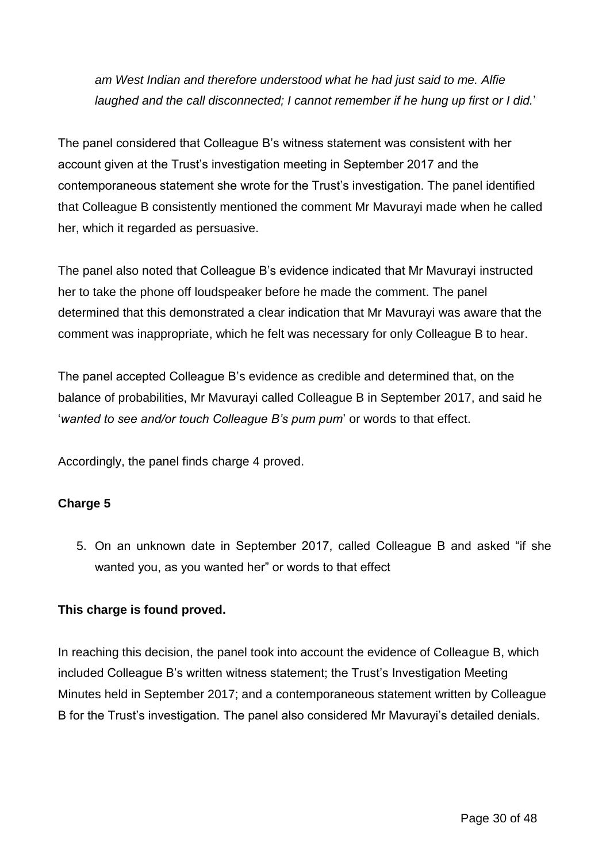*am West Indian and therefore understood what he had just said to me. Alfie laughed and the call disconnected; I cannot remember if he hung up first or I did.*'

The panel considered that Colleague B's witness statement was consistent with her account given at the Trust's investigation meeting in September 2017 and the contemporaneous statement she wrote for the Trust's investigation. The panel identified that Colleague B consistently mentioned the comment Mr Mavurayi made when he called her, which it regarded as persuasive.

The panel also noted that Colleague B's evidence indicated that Mr Mavurayi instructed her to take the phone off loudspeaker before he made the comment. The panel determined that this demonstrated a clear indication that Mr Mavurayi was aware that the comment was inappropriate, which he felt was necessary for only Colleague B to hear.

The panel accepted Colleague B's evidence as credible and determined that, on the balance of probabilities, Mr Mavurayi called Colleague B in September 2017, and said he '*wanted to see and/or touch Colleague B's pum pum*' or words to that effect.

Accordingly, the panel finds charge 4 proved.

# **Charge 5**

5. On an unknown date in September 2017, called Colleague B and asked "if she wanted you, as you wanted her" or words to that effect

### **This charge is found proved.**

In reaching this decision, the panel took into account the evidence of Colleague B, which included Colleague B's written witness statement; the Trust's Investigation Meeting Minutes held in September 2017; and a contemporaneous statement written by Colleague B for the Trust's investigation. The panel also considered Mr Mavurayi's detailed denials.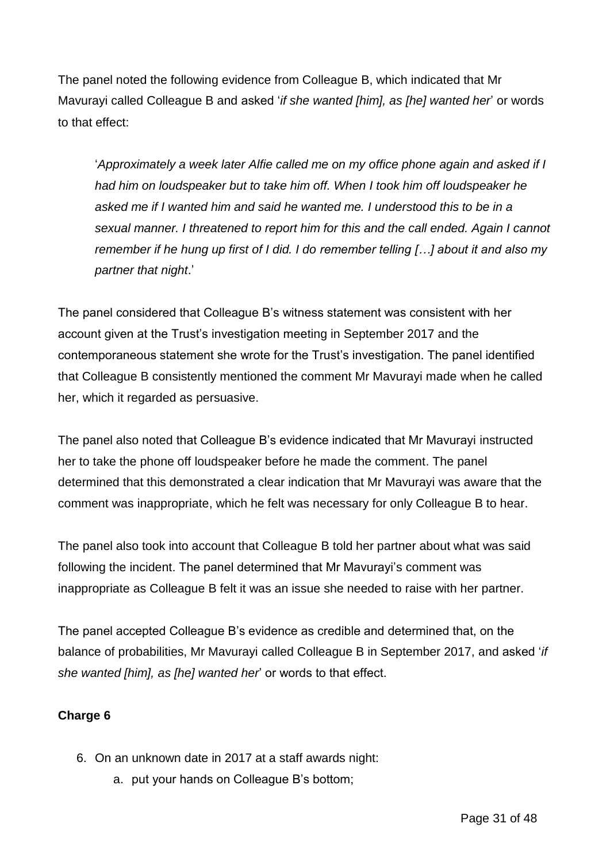The panel noted the following evidence from Colleague B, which indicated that Mr Mavurayi called Colleague B and asked '*if she wanted [him], as [he] wanted her*' or words to that effect:

'*Approximately a week later Alfie called me on my office phone again and asked if I had him on loudspeaker but to take him off. When I took him off loudspeaker he asked me if I wanted him and said he wanted me. I understood this to be in a sexual manner. I threatened to report him for this and the call ended. Again I cannot remember if he hung up first of I did. I do remember telling […] about it and also my partner that night*.'

The panel considered that Colleague B's witness statement was consistent with her account given at the Trust's investigation meeting in September 2017 and the contemporaneous statement she wrote for the Trust's investigation. The panel identified that Colleague B consistently mentioned the comment Mr Mavurayi made when he called her, which it regarded as persuasive.

The panel also noted that Colleague B's evidence indicated that Mr Mavurayi instructed her to take the phone off loudspeaker before he made the comment. The panel determined that this demonstrated a clear indication that Mr Mavurayi was aware that the comment was inappropriate, which he felt was necessary for only Colleague B to hear.

The panel also took into account that Colleague B told her partner about what was said following the incident. The panel determined that Mr Mavurayi's comment was inappropriate as Colleague B felt it was an issue she needed to raise with her partner.

The panel accepted Colleague B's evidence as credible and determined that, on the balance of probabilities, Mr Mavurayi called Colleague B in September 2017, and asked '*if she wanted [him], as [he] wanted her*' or words to that effect.

# **Charge 6**

- 6. On an unknown date in 2017 at a staff awards night:
	- a. put your hands on Colleague B's bottom;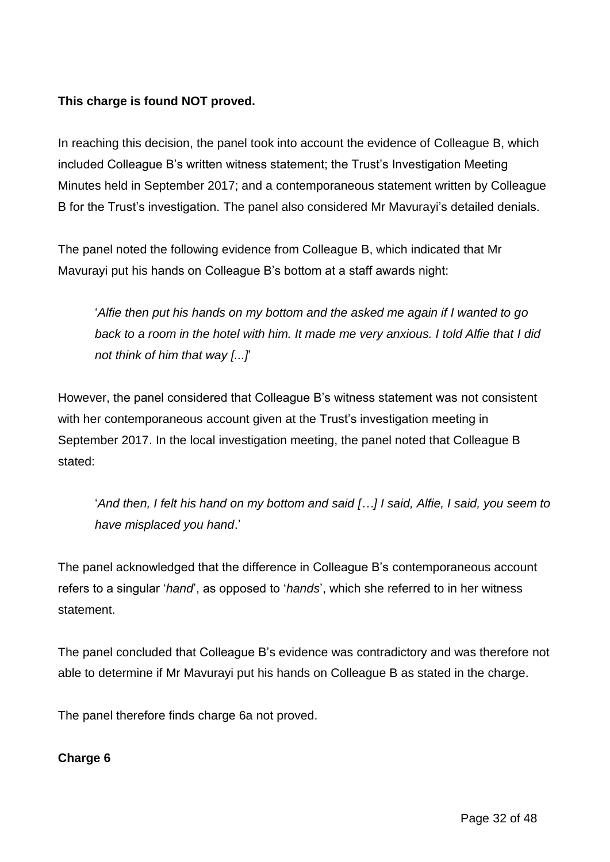## **This charge is found NOT proved.**

In reaching this decision, the panel took into account the evidence of Colleague B, which included Colleague B's written witness statement; the Trust's Investigation Meeting Minutes held in September 2017; and a contemporaneous statement written by Colleague B for the Trust's investigation. The panel also considered Mr Mavurayi's detailed denials.

The panel noted the following evidence from Colleague B, which indicated that Mr Mavurayi put his hands on Colleague B's bottom at a staff awards night:

'*Alfie then put his hands on my bottom and the asked me again if I wanted to go back to a room in the hotel with him. It made me very anxious. I told Alfie that I did not think of him that way [...]*'

However, the panel considered that Colleague B's witness statement was not consistent with her contemporaneous account given at the Trust's investigation meeting in September 2017. In the local investigation meeting, the panel noted that Colleague B stated:

'*And then, I felt his hand on my bottom and said […] I said, Alfie, I said, you seem to have misplaced you hand*.'

The panel acknowledged that the difference in Colleague B's contemporaneous account refers to a singular '*hand*', as opposed to '*hands*', which she referred to in her witness statement.

The panel concluded that Colleague B's evidence was contradictory and was therefore not able to determine if Mr Mavurayi put his hands on Colleague B as stated in the charge.

The panel therefore finds charge 6a not proved.

#### **Charge 6**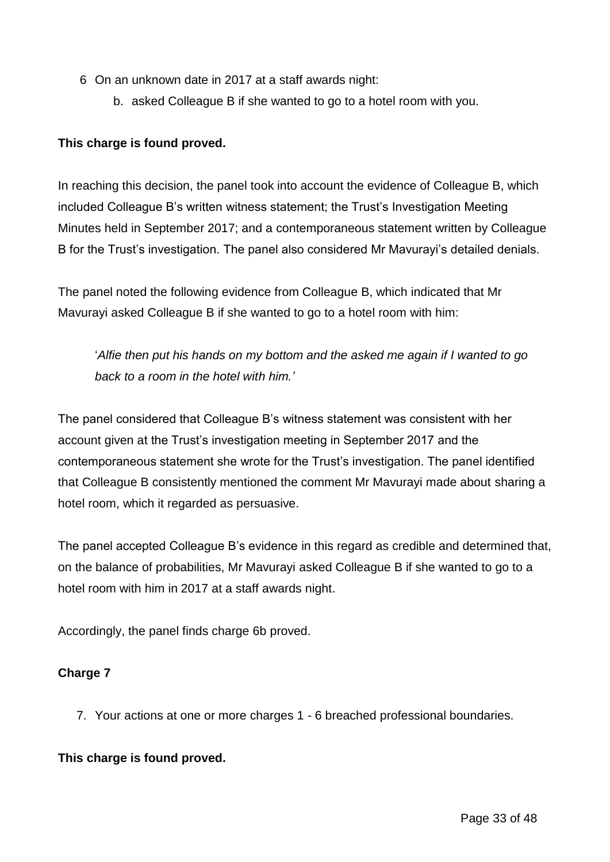- 6 On an unknown date in 2017 at a staff awards night:
	- b. asked Colleague B if she wanted to go to a hotel room with you.

### **This charge is found proved.**

In reaching this decision, the panel took into account the evidence of Colleague B, which included Colleague B's written witness statement; the Trust's Investigation Meeting Minutes held in September 2017; and a contemporaneous statement written by Colleague B for the Trust's investigation. The panel also considered Mr Mavurayi's detailed denials.

The panel noted the following evidence from Colleague B, which indicated that Mr Mavurayi asked Colleague B if she wanted to go to a hotel room with him:

'*Alfie then put his hands on my bottom and the asked me again if I wanted to go back to a room in the hotel with him.'*

The panel considered that Colleague B's witness statement was consistent with her account given at the Trust's investigation meeting in September 2017 and the contemporaneous statement she wrote for the Trust's investigation. The panel identified that Colleague B consistently mentioned the comment Mr Mavurayi made about sharing a hotel room, which it regarded as persuasive.

The panel accepted Colleague B's evidence in this regard as credible and determined that, on the balance of probabilities, Mr Mavurayi asked Colleague B if she wanted to go to a hotel room with him in 2017 at a staff awards night.

Accordingly, the panel finds charge 6b proved.

### **Charge 7**

7. Your actions at one or more charges 1 - 6 breached professional boundaries.

#### **This charge is found proved.**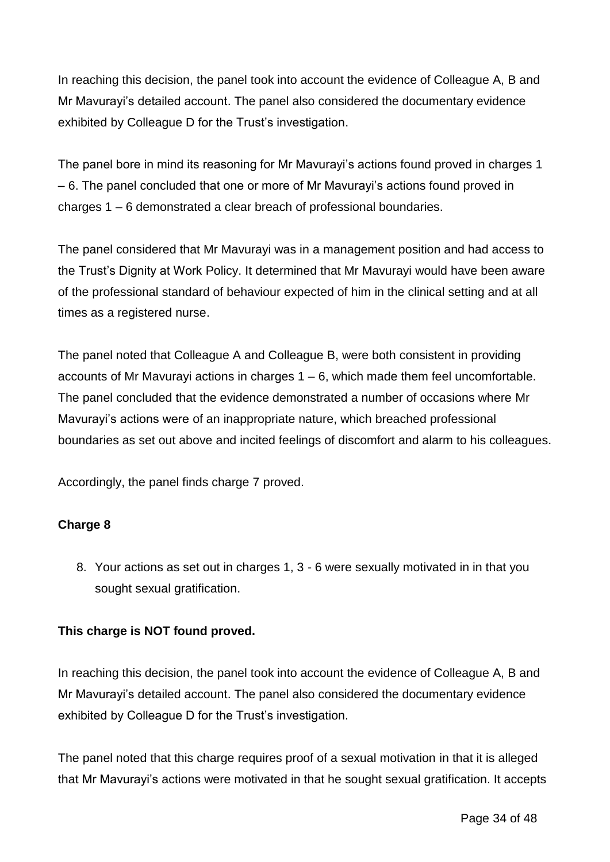In reaching this decision, the panel took into account the evidence of Colleague A, B and Mr Mavurayi's detailed account. The panel also considered the documentary evidence exhibited by Colleague D for the Trust's investigation.

The panel bore in mind its reasoning for Mr Mavurayi's actions found proved in charges 1 – 6. The panel concluded that one or more of Mr Mavurayi's actions found proved in charges 1 – 6 demonstrated a clear breach of professional boundaries.

The panel considered that Mr Mavurayi was in a management position and had access to the Trust's Dignity at Work Policy. It determined that Mr Mavurayi would have been aware of the professional standard of behaviour expected of him in the clinical setting and at all times as a registered nurse.

The panel noted that Colleague A and Colleague B, were both consistent in providing accounts of Mr Mavurayi actions in charges 1 – 6, which made them feel uncomfortable. The panel concluded that the evidence demonstrated a number of occasions where Mr Mavurayi's actions were of an inappropriate nature, which breached professional boundaries as set out above and incited feelings of discomfort and alarm to his colleagues.

Accordingly, the panel finds charge 7 proved.

### **Charge 8**

8. Your actions as set out in charges 1, 3 - 6 were sexually motivated in in that you sought sexual gratification.

### **This charge is NOT found proved.**

In reaching this decision, the panel took into account the evidence of Colleague A, B and Mr Mavurayi's detailed account. The panel also considered the documentary evidence exhibited by Colleague D for the Trust's investigation.

The panel noted that this charge requires proof of a sexual motivation in that it is alleged that Mr Mavurayi's actions were motivated in that he sought sexual gratification. It accepts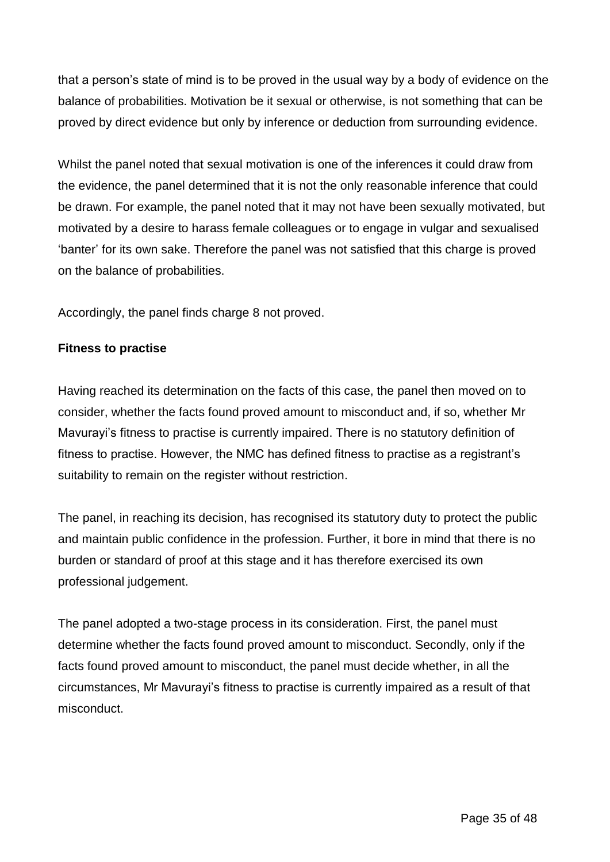that a person's state of mind is to be proved in the usual way by a body of evidence on the balance of probabilities. Motivation be it sexual or otherwise, is not something that can be proved by direct evidence but only by inference or deduction from surrounding evidence.

Whilst the panel noted that sexual motivation is one of the inferences it could draw from the evidence, the panel determined that it is not the only reasonable inference that could be drawn. For example, the panel noted that it may not have been sexually motivated, but motivated by a desire to harass female colleagues or to engage in vulgar and sexualised 'banter' for its own sake. Therefore the panel was not satisfied that this charge is proved on the balance of probabilities.

Accordingly, the panel finds charge 8 not proved.

#### **Fitness to practise**

Having reached its determination on the facts of this case, the panel then moved on to consider, whether the facts found proved amount to misconduct and, if so, whether Mr Mavurayi's fitness to practise is currently impaired. There is no statutory definition of fitness to practise. However, the NMC has defined fitness to practise as a registrant's suitability to remain on the register without restriction.

The panel, in reaching its decision, has recognised its statutory duty to protect the public and maintain public confidence in the profession. Further, it bore in mind that there is no burden or standard of proof at this stage and it has therefore exercised its own professional judgement.

The panel adopted a two-stage process in its consideration. First, the panel must determine whether the facts found proved amount to misconduct. Secondly, only if the facts found proved amount to misconduct, the panel must decide whether, in all the circumstances, Mr Mavurayi's fitness to practise is currently impaired as a result of that misconduct.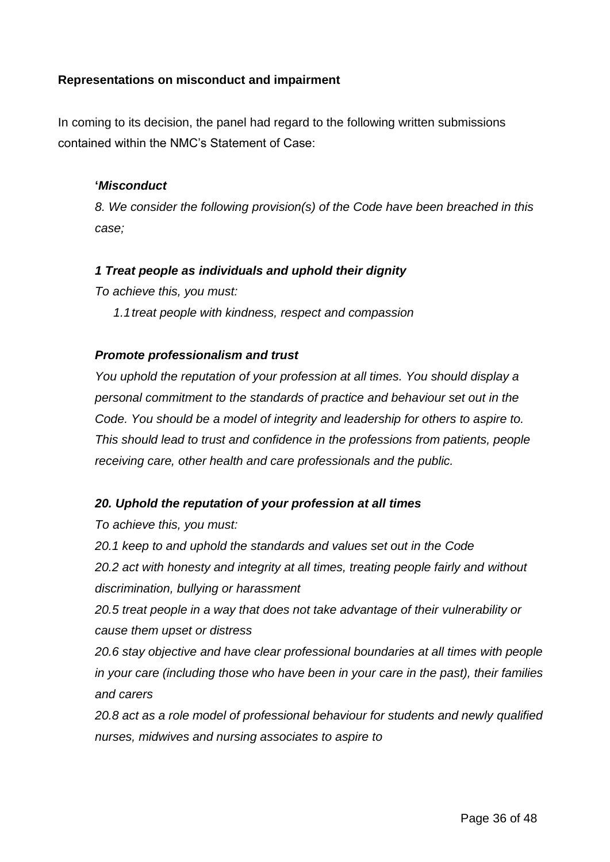#### **Representations on misconduct and impairment**

In coming to its decision, the panel had regard to the following written submissions contained within the NMC's Statement of Case:

#### **'***Misconduct*

*8. We consider the following provision(s) of the Code have been breached in this case;*

#### *1 Treat people as individuals and uphold their dignity*

*To achieve this, you must:*

*1.1treat people with kindness, respect and compassion*

#### *Promote professionalism and trust*

*You uphold the reputation of your profession at all times. You should display a personal commitment to the standards of practice and behaviour set out in the Code. You should be a model of integrity and leadership for others to aspire to. This should lead to trust and confidence in the professions from patients, people receiving care, other health and care professionals and the public.*

#### *20. Uphold the reputation of your profession at all times*

*To achieve this, you must:*

*20.1 keep to and uphold the standards and values set out in the Code 20.2 act with honesty and integrity at all times, treating people fairly and without* 

*discrimination, bullying or harassment*

*20.5 treat people in a way that does not take advantage of their vulnerability or cause them upset or distress*

*20.6 stay objective and have clear professional boundaries at all times with people in your care (including those who have been in your care in the past), their families and carers*

*20.8 act as a role model of professional behaviour for students and newly qualified nurses, midwives and nursing associates to aspire to*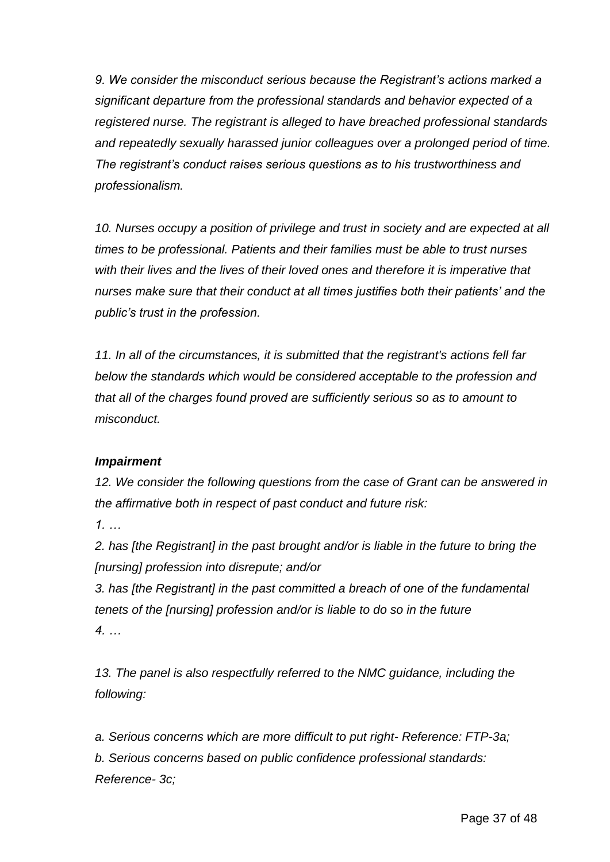*9. We consider the misconduct serious because the Registrant's actions marked a significant departure from the professional standards and behavior expected of a registered nurse. The registrant is alleged to have breached professional standards and repeatedly sexually harassed junior colleagues over a prolonged period of time. The registrant's conduct raises serious questions as to his trustworthiness and professionalism.*

*10. Nurses occupy a position of privilege and trust in society and are expected at all times to be professional. Patients and their families must be able to trust nurses with their lives and the lives of their loved ones and therefore it is imperative that nurses make sure that their conduct at all times justifies both their patients' and the public's trust in the profession.*

*11. In all of the circumstances, it is submitted that the registrant's actions fell far below the standards which would be considered acceptable to the profession and that all of the charges found proved are sufficiently serious so as to amount to misconduct.*

### *Impairment*

*12. We consider the following questions from the case of Grant can be answered in the affirmative both in respect of past conduct and future risk:*

*1. …*

*2. has [the Registrant] in the past brought and/or is liable in the future to bring the [nursing] profession into disrepute; and/or*

*3. has [the Registrant] in the past committed a breach of one of the fundamental tenets of the [nursing] profession and/or is liable to do so in the future 4. …*

*13. The panel is also respectfully referred to the NMC guidance, including the following:*

*a. Serious concerns which are more difficult to put right- Reference: FTP-3a; b. Serious concerns based on public confidence professional standards: Reference- 3c;*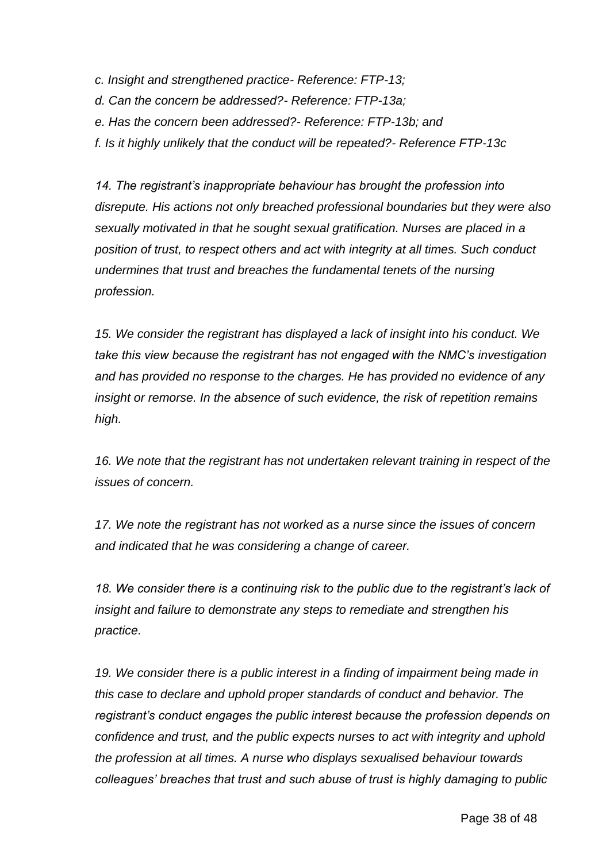- *c. Insight and strengthened practice- Reference: FTP-13;*
- *d. Can the concern be addressed?- Reference: FTP-13a;*
- *e. Has the concern been addressed?- Reference: FTP-13b; and*
- *f. Is it highly unlikely that the conduct will be repeated?- Reference FTP-13c*

*14. The registrant's inappropriate behaviour has brought the profession into disrepute. His actions not only breached professional boundaries but they were also sexually motivated in that he sought sexual gratification. Nurses are placed in a position of trust, to respect others and act with integrity at all times. Such conduct undermines that trust and breaches the fundamental tenets of the nursing profession.*

*15. We consider the registrant has displayed a lack of insight into his conduct. We take this view because the registrant has not engaged with the NMC's investigation and has provided no response to the charges. He has provided no evidence of any insight or remorse. In the absence of such evidence, the risk of repetition remains high.*

*16. We note that the registrant has not undertaken relevant training in respect of the issues of concern.*

*17. We note the registrant has not worked as a nurse since the issues of concern and indicated that he was considering a change of career.*

*18. We consider there is a continuing risk to the public due to the registrant's lack of insight and failure to demonstrate any steps to remediate and strengthen his practice.*

*19. We consider there is a public interest in a finding of impairment being made in this case to declare and uphold proper standards of conduct and behavior. The registrant's conduct engages the public interest because the profession depends on confidence and trust, and the public expects nurses to act with integrity and uphold the profession at all times. A nurse who displays sexualised behaviour towards colleagues' breaches that trust and such abuse of trust is highly damaging to public*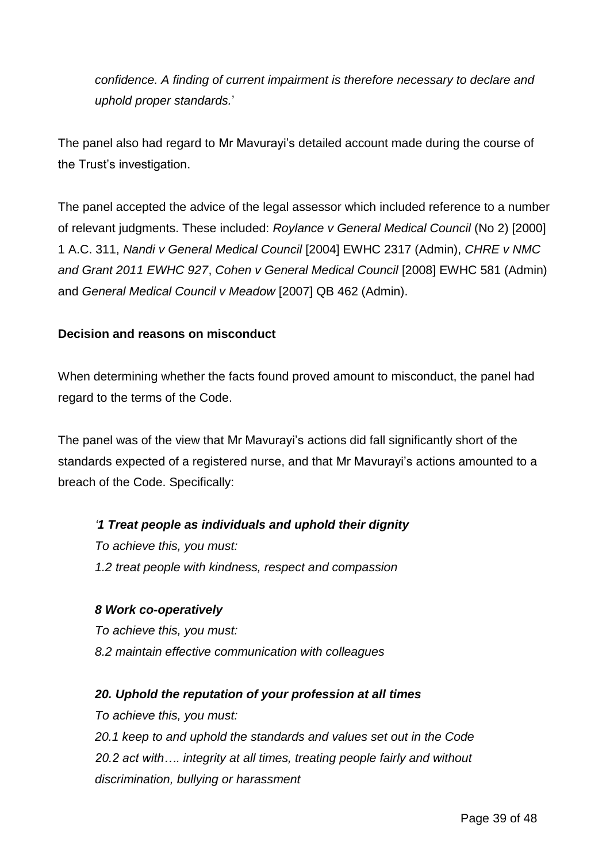*confidence. A finding of current impairment is therefore necessary to declare and uphold proper standards.*'

The panel also had regard to Mr Mavurayi's detailed account made during the course of the Trust's investigation.

The panel accepted the advice of the legal assessor which included reference to a number of relevant judgments. These included: *Roylance v General Medical Council* (No 2) [2000] 1 A.C. 311, *Nandi v General Medical Council* [2004] EWHC 2317 (Admin), *CHRE v NMC and Grant 2011 EWHC 927*, *Cohen v General Medical Council* [2008] EWHC 581 (Admin) and *General Medical Council v Meadow* [2007] QB 462 (Admin).

### **Decision and reasons on misconduct**

When determining whether the facts found proved amount to misconduct, the panel had regard to the terms of the Code.

The panel was of the view that Mr Mavurayi's actions did fall significantly short of the standards expected of a registered nurse, and that Mr Mavurayi's actions amounted to a breach of the Code. Specifically:

### *'1 Treat people as individuals and uphold their dignity*

*To achieve this, you must: 1.2 treat people with kindness, respect and compassion*

#### *8 Work co-operatively*

*To achieve this, you must: 8.2 maintain effective communication with colleagues*

### *20. Uphold the reputation of your profession at all times*

*To achieve this, you must: 20.1 keep to and uphold the standards and values set out in the Code 20.2 act with…. integrity at all times, treating people fairly and without discrimination, bullying or harassment*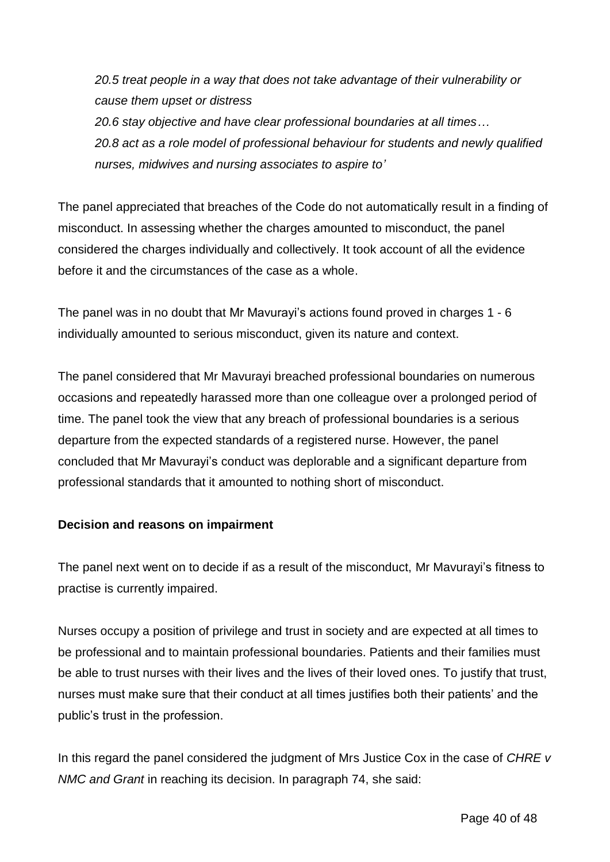*20.5 treat people in a way that does not take advantage of their vulnerability or cause them upset or distress*

*20.6 stay objective and have clear professional boundaries at all times… 20.8 act as a role model of professional behaviour for students and newly qualified nurses, midwives and nursing associates to aspire to'*

The panel appreciated that breaches of the Code do not automatically result in a finding of misconduct. In assessing whether the charges amounted to misconduct, the panel considered the charges individually and collectively. It took account of all the evidence before it and the circumstances of the case as a whole.

The panel was in no doubt that Mr Mavurayi's actions found proved in charges 1 - 6 individually amounted to serious misconduct, given its nature and context.

The panel considered that Mr Mavurayi breached professional boundaries on numerous occasions and repeatedly harassed more than one colleague over a prolonged period of time. The panel took the view that any breach of professional boundaries is a serious departure from the expected standards of a registered nurse. However, the panel concluded that Mr Mavurayi's conduct was deplorable and a significant departure from professional standards that it amounted to nothing short of misconduct.

### **Decision and reasons on impairment**

The panel next went on to decide if as a result of the misconduct, Mr Mavurayi's fitness to practise is currently impaired.

Nurses occupy a position of privilege and trust in society and are expected at all times to be professional and to maintain professional boundaries. Patients and their families must be able to trust nurses with their lives and the lives of their loved ones. To justify that trust, nurses must make sure that their conduct at all times justifies both their patients' and the public's trust in the profession.

In this regard the panel considered the judgment of Mrs Justice Cox in the case of *CHRE v NMC and Grant* in reaching its decision. In paragraph 74, she said: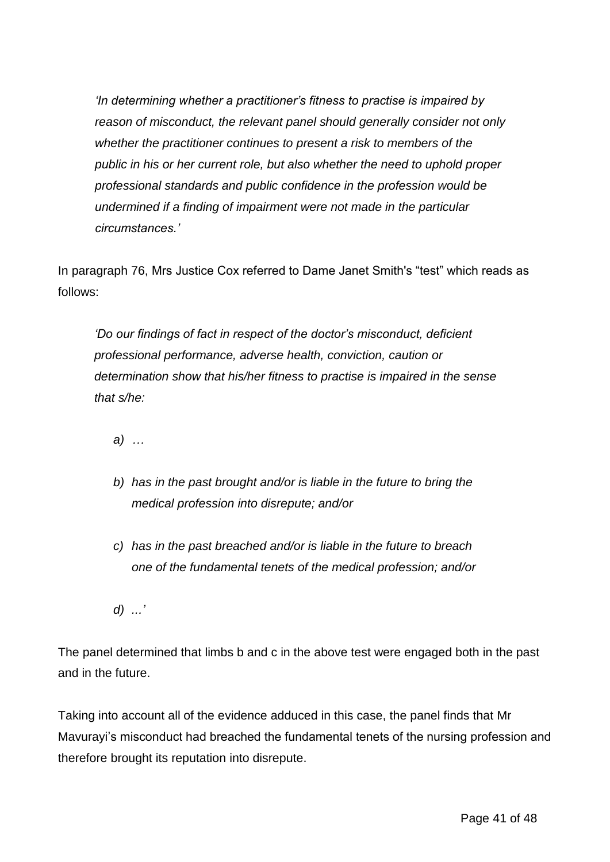*'In determining whether a practitioner's fitness to practise is impaired by reason of misconduct, the relevant panel should generally consider not only whether the practitioner continues to present a risk to members of the public in his or her current role, but also whether the need to uphold proper professional standards and public confidence in the profession would be undermined if a finding of impairment were not made in the particular circumstances.'*

In paragraph 76, Mrs Justice Cox referred to Dame Janet Smith's "test" which reads as follows:

*'Do our findings of fact in respect of the doctor's misconduct, deficient professional performance, adverse health, conviction, caution or determination show that his/her fitness to practise is impaired in the sense that s/he:*

*a) …*

- *b) has in the past brought and/or is liable in the future to bring the medical profession into disrepute; and/or*
- *c) has in the past breached and/or is liable in the future to breach one of the fundamental tenets of the medical profession; and/or*

*d) ...'*

The panel determined that limbs b and c in the above test were engaged both in the past and in the future.

Taking into account all of the evidence adduced in this case, the panel finds that Mr Mavurayi's misconduct had breached the fundamental tenets of the nursing profession and therefore brought its reputation into disrepute.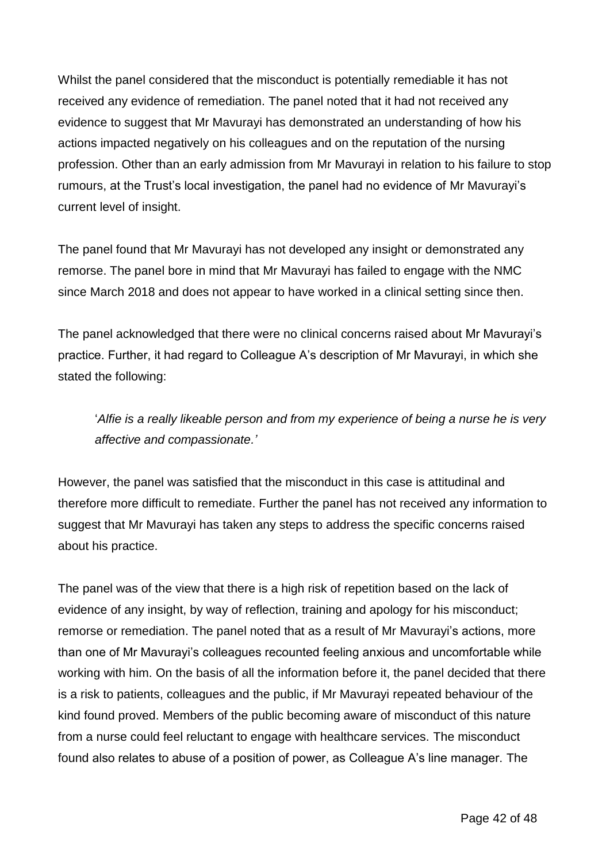Whilst the panel considered that the misconduct is potentially remediable it has not received any evidence of remediation. The panel noted that it had not received any evidence to suggest that Mr Mavurayi has demonstrated an understanding of how his actions impacted negatively on his colleagues and on the reputation of the nursing profession. Other than an early admission from Mr Mavurayi in relation to his failure to stop rumours, at the Trust's local investigation, the panel had no evidence of Mr Mavurayi's current level of insight.

The panel found that Mr Mavurayi has not developed any insight or demonstrated any remorse. The panel bore in mind that Mr Mavurayi has failed to engage with the NMC since March 2018 and does not appear to have worked in a clinical setting since then.

The panel acknowledged that there were no clinical concerns raised about Mr Mavurayi's practice. Further, it had regard to Colleague A's description of Mr Mavurayi, in which she stated the following:

'*Alfie is a really likeable person and from my experience of being a nurse he is very affective and compassionate.'*

However, the panel was satisfied that the misconduct in this case is attitudinal and therefore more difficult to remediate. Further the panel has not received any information to suggest that Mr Mavurayi has taken any steps to address the specific concerns raised about his practice.

The panel was of the view that there is a high risk of repetition based on the lack of evidence of any insight, by way of reflection, training and apology for his misconduct; remorse or remediation. The panel noted that as a result of Mr Mavurayi's actions, more than one of Mr Mavurayi's colleagues recounted feeling anxious and uncomfortable while working with him. On the basis of all the information before it, the panel decided that there is a risk to patients, colleagues and the public, if Mr Mavurayi repeated behaviour of the kind found proved. Members of the public becoming aware of misconduct of this nature from a nurse could feel reluctant to engage with healthcare services. The misconduct found also relates to abuse of a position of power, as Colleague A's line manager. The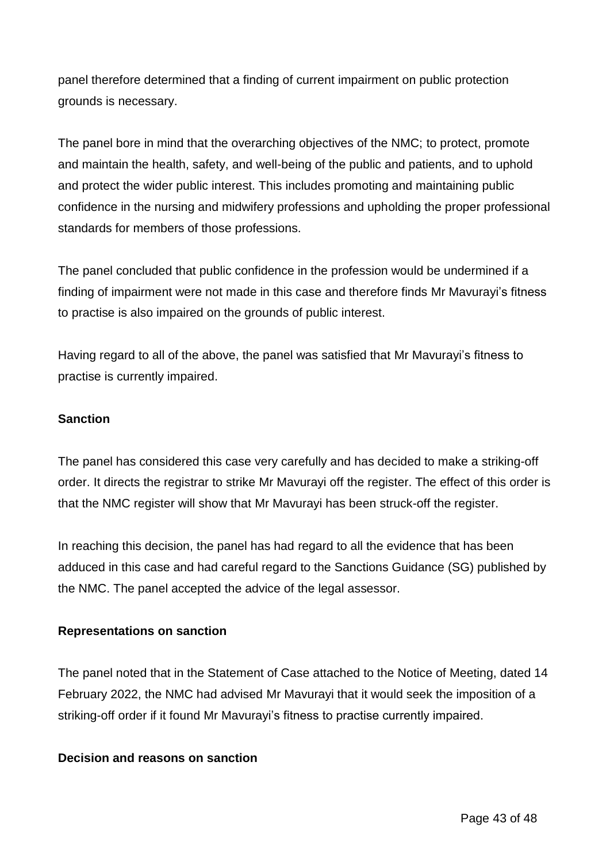panel therefore determined that a finding of current impairment on public protection grounds is necessary.

The panel bore in mind that the overarching objectives of the NMC; to protect, promote and maintain the health, safety, and well-being of the public and patients, and to uphold and protect the wider public interest. This includes promoting and maintaining public confidence in the nursing and midwifery professions and upholding the proper professional standards for members of those professions.

The panel concluded that public confidence in the profession would be undermined if a finding of impairment were not made in this case and therefore finds Mr Mavurayi's fitness to practise is also impaired on the grounds of public interest.

Having regard to all of the above, the panel was satisfied that Mr Mavurayi's fitness to practise is currently impaired.

#### **Sanction**

The panel has considered this case very carefully and has decided to make a striking-off order. It directs the registrar to strike Mr Mavurayi off the register. The effect of this order is that the NMC register will show that Mr Mavurayi has been struck-off the register.

In reaching this decision, the panel has had regard to all the evidence that has been adduced in this case and had careful regard to the Sanctions Guidance (SG) published by the NMC. The panel accepted the advice of the legal assessor.

#### **Representations on sanction**

The panel noted that in the Statement of Case attached to the Notice of Meeting, dated 14 February 2022, the NMC had advised Mr Mavurayi that it would seek the imposition of a striking-off order if it found Mr Mavurayi's fitness to practise currently impaired.

#### **Decision and reasons on sanction**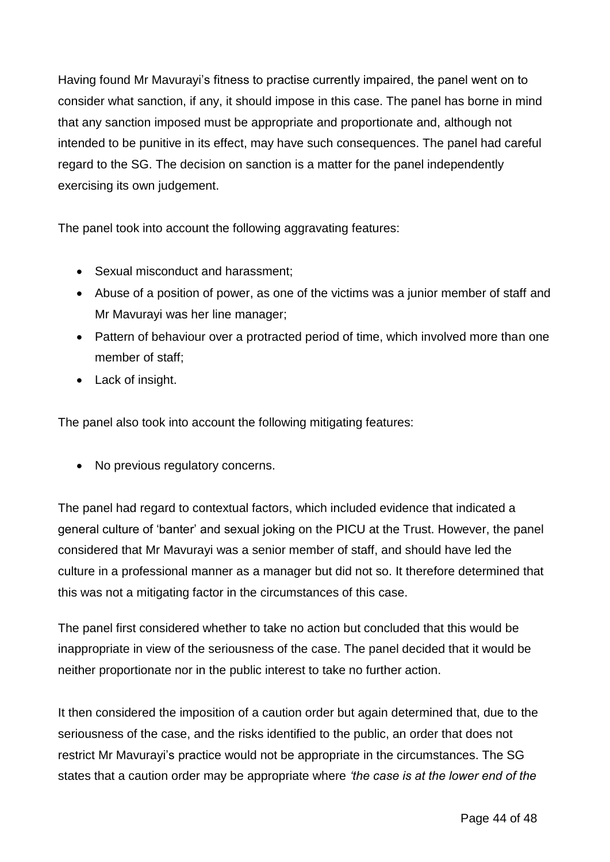Having found Mr Mavurayi's fitness to practise currently impaired, the panel went on to consider what sanction, if any, it should impose in this case. The panel has borne in mind that any sanction imposed must be appropriate and proportionate and, although not intended to be punitive in its effect, may have such consequences. The panel had careful regard to the SG. The decision on sanction is a matter for the panel independently exercising its own judgement.

The panel took into account the following aggravating features:

- Sexual misconduct and harassment;
- Abuse of a position of power, as one of the victims was a junior member of staff and Mr Mavurayi was her line manager;
- Pattern of behaviour over a protracted period of time, which involved more than one member of staff;
- Lack of insight.

The panel also took into account the following mitigating features:

• No previous regulatory concerns.

The panel had regard to contextual factors, which included evidence that indicated a general culture of 'banter' and sexual joking on the PICU at the Trust. However, the panel considered that Mr Mavurayi was a senior member of staff, and should have led the culture in a professional manner as a manager but did not so. It therefore determined that this was not a mitigating factor in the circumstances of this case.

The panel first considered whether to take no action but concluded that this would be inappropriate in view of the seriousness of the case. The panel decided that it would be neither proportionate nor in the public interest to take no further action.

It then considered the imposition of a caution order but again determined that, due to the seriousness of the case, and the risks identified to the public, an order that does not restrict Mr Mavurayi's practice would not be appropriate in the circumstances. The SG states that a caution order may be appropriate where *'the case is at the lower end of the*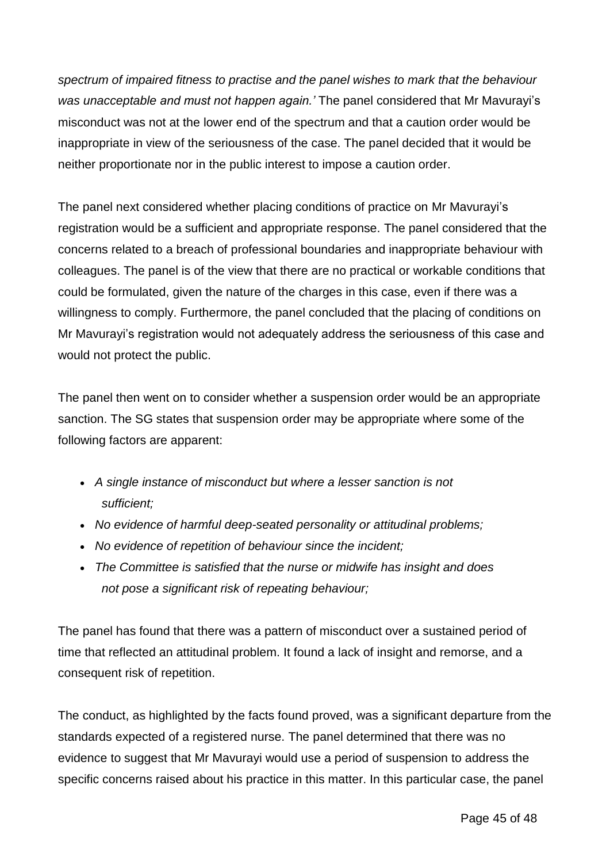*spectrum of impaired fitness to practise and the panel wishes to mark that the behaviour was unacceptable and must not happen again.'* The panel considered that Mr Mavurayi's misconduct was not at the lower end of the spectrum and that a caution order would be inappropriate in view of the seriousness of the case. The panel decided that it would be neither proportionate nor in the public interest to impose a caution order.

The panel next considered whether placing conditions of practice on Mr Mavurayi's registration would be a sufficient and appropriate response. The panel considered that the concerns related to a breach of professional boundaries and inappropriate behaviour with colleagues. The panel is of the view that there are no practical or workable conditions that could be formulated, given the nature of the charges in this case, even if there was a willingness to comply. Furthermore, the panel concluded that the placing of conditions on Mr Mavurayi's registration would not adequately address the seriousness of this case and would not protect the public.

The panel then went on to consider whether a suspension order would be an appropriate sanction. The SG states that suspension order may be appropriate where some of the following factors are apparent:

- *A single instance of misconduct but where a lesser sanction is not sufficient;*
- *No evidence of harmful deep-seated personality or attitudinal problems;*
- *No evidence of repetition of behaviour since the incident;*
- *The Committee is satisfied that the nurse or midwife has insight and does not pose a significant risk of repeating behaviour;*

The panel has found that there was a pattern of misconduct over a sustained period of time that reflected an attitudinal problem. It found a lack of insight and remorse, and a consequent risk of repetition.

The conduct, as highlighted by the facts found proved, was a significant departure from the standards expected of a registered nurse. The panel determined that there was no evidence to suggest that Mr Mavurayi would use a period of suspension to address the specific concerns raised about his practice in this matter. In this particular case, the panel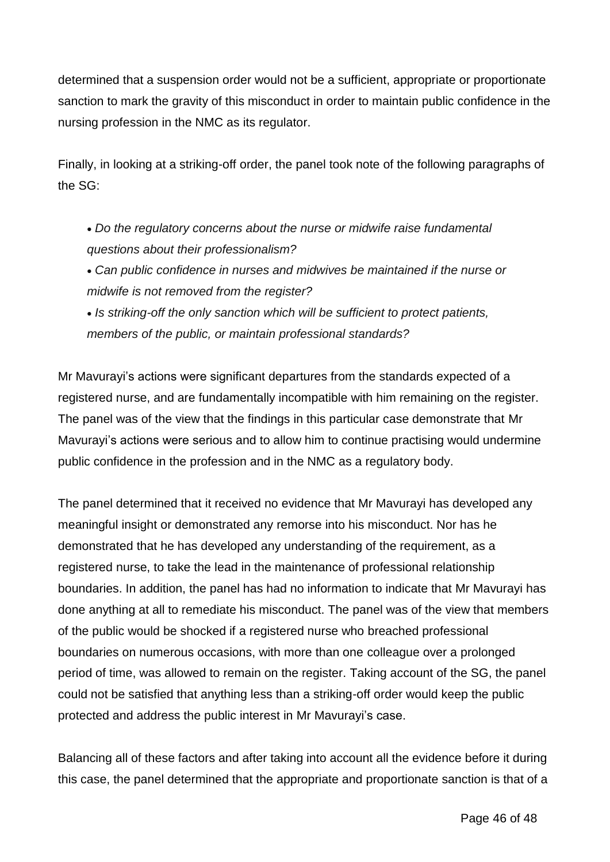determined that a suspension order would not be a sufficient, appropriate or proportionate sanction to mark the gravity of this misconduct in order to maintain public confidence in the nursing profession in the NMC as its regulator.

Finally, in looking at a striking-off order, the panel took note of the following paragraphs of the SG:

- *Do the regulatory concerns about the nurse or midwife raise fundamental questions about their professionalism?*
- *Can public confidence in nurses and midwives be maintained if the nurse or midwife is not removed from the register?*
- *Is striking-off the only sanction which will be sufficient to protect patients, members of the public, or maintain professional standards?*

Mr Mavurayi's actions were significant departures from the standards expected of a registered nurse, and are fundamentally incompatible with him remaining on the register. The panel was of the view that the findings in this particular case demonstrate that Mr Mavurayi's actions were serious and to allow him to continue practising would undermine public confidence in the profession and in the NMC as a regulatory body.

The panel determined that it received no evidence that Mr Mavurayi has developed any meaningful insight or demonstrated any remorse into his misconduct. Nor has he demonstrated that he has developed any understanding of the requirement, as a registered nurse, to take the lead in the maintenance of professional relationship boundaries. In addition, the panel has had no information to indicate that Mr Mavurayi has done anything at all to remediate his misconduct. The panel was of the view that members of the public would be shocked if a registered nurse who breached professional boundaries on numerous occasions, with more than one colleague over a prolonged period of time, was allowed to remain on the register. Taking account of the SG, the panel could not be satisfied that anything less than a striking-off order would keep the public protected and address the public interest in Mr Mavurayi's case.

Balancing all of these factors and after taking into account all the evidence before it during this case, the panel determined that the appropriate and proportionate sanction is that of a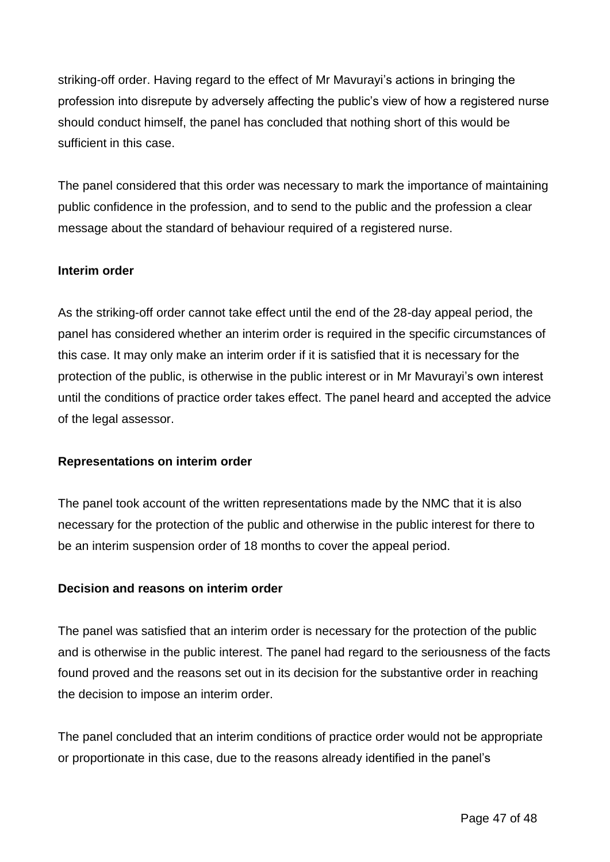striking-off order. Having regard to the effect of Mr Mavurayi's actions in bringing the profession into disrepute by adversely affecting the public's view of how a registered nurse should conduct himself, the panel has concluded that nothing short of this would be sufficient in this case.

The panel considered that this order was necessary to mark the importance of maintaining public confidence in the profession, and to send to the public and the profession a clear message about the standard of behaviour required of a registered nurse.

#### **Interim order**

As the striking-off order cannot take effect until the end of the 28-day appeal period, the panel has considered whether an interim order is required in the specific circumstances of this case. It may only make an interim order if it is satisfied that it is necessary for the protection of the public, is otherwise in the public interest or in Mr Mavurayi's own interest until the conditions of practice order takes effect. The panel heard and accepted the advice of the legal assessor.

#### **Representations on interim order**

The panel took account of the written representations made by the NMC that it is also necessary for the protection of the public and otherwise in the public interest for there to be an interim suspension order of 18 months to cover the appeal period.

#### **Decision and reasons on interim order**

The panel was satisfied that an interim order is necessary for the protection of the public and is otherwise in the public interest. The panel had regard to the seriousness of the facts found proved and the reasons set out in its decision for the substantive order in reaching the decision to impose an interim order.

The panel concluded that an interim conditions of practice order would not be appropriate or proportionate in this case, due to the reasons already identified in the panel's